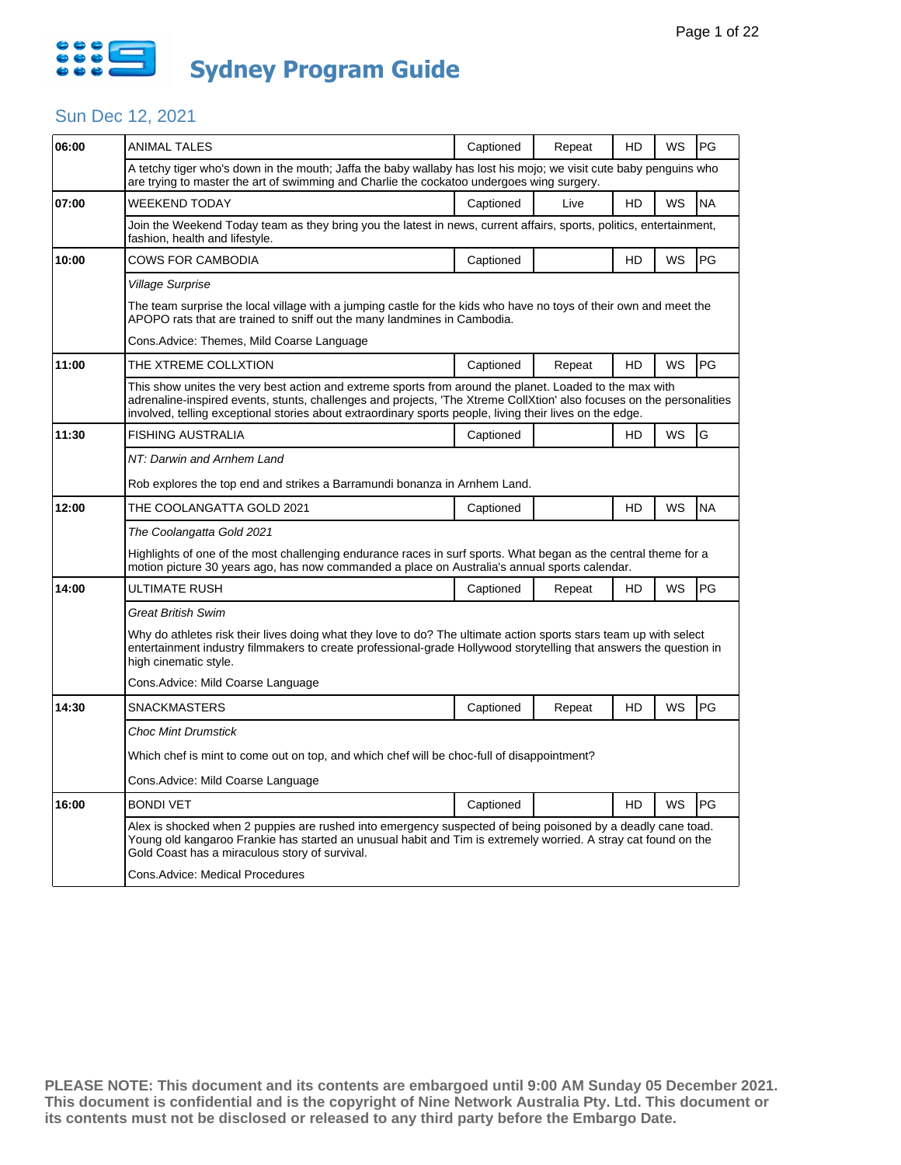

| 06:00 | <b>ANIMAL TALES</b>                                                                                                                                                                                                                                                                                                                          | Captioned | Repeat | HD | WS        | <b>PG</b> |  |  |
|-------|----------------------------------------------------------------------------------------------------------------------------------------------------------------------------------------------------------------------------------------------------------------------------------------------------------------------------------------------|-----------|--------|----|-----------|-----------|--|--|
|       | A tetchy tiger who's down in the mouth; Jaffa the baby wallaby has lost his mojo; we visit cute baby penguins who<br>are trying to master the art of swimming and Charlie the cockatoo undergoes wing surgery.                                                                                                                               |           |        |    |           |           |  |  |
| 07:00 | <b>WEEKEND TODAY</b>                                                                                                                                                                                                                                                                                                                         | Captioned | Live   | HD | WS        | <b>NA</b> |  |  |
|       | Join the Weekend Today team as they bring you the latest in news, current affairs, sports, politics, entertainment,<br>fashion, health and lifestyle.                                                                                                                                                                                        |           |        |    |           |           |  |  |
| 10:00 | <b>COWS FOR CAMBODIA</b>                                                                                                                                                                                                                                                                                                                     | Captioned |        | HD | WS        | PG        |  |  |
|       | <b>Village Surprise</b>                                                                                                                                                                                                                                                                                                                      |           |        |    |           |           |  |  |
|       | The team surprise the local village with a jumping castle for the kids who have no toys of their own and meet the<br>APOPO rats that are trained to sniff out the many landmines in Cambodia.                                                                                                                                                |           |        |    |           |           |  |  |
|       | Cons.Advice: Themes, Mild Coarse Language                                                                                                                                                                                                                                                                                                    |           |        |    |           |           |  |  |
| 11:00 | THE XTREME COLLXTION                                                                                                                                                                                                                                                                                                                         | Captioned | Repeat | HD | <b>WS</b> | <b>PG</b> |  |  |
|       | This show unites the very best action and extreme sports from around the planet. Loaded to the max with<br>adrenaline-inspired events, stunts, challenges and projects, 'The Xtreme CollXtion' also focuses on the personalities<br>involved, telling exceptional stories about extraordinary sports people, living their lives on the edge. |           |        |    |           |           |  |  |
| 11:30 | <b>FISHING AUSTRALIA</b>                                                                                                                                                                                                                                                                                                                     | Captioned |        | HD | WS        | G         |  |  |
|       | NT: Darwin and Arnhem Land                                                                                                                                                                                                                                                                                                                   |           |        |    |           |           |  |  |
|       | Rob explores the top end and strikes a Barramundi bonanza in Arnhem Land.                                                                                                                                                                                                                                                                    |           |        |    |           |           |  |  |
| 12:00 | THE COOLANGATTA GOLD 2021                                                                                                                                                                                                                                                                                                                    | Captioned |        | HD | WS        | <b>NA</b> |  |  |
|       | The Coolangatta Gold 2021                                                                                                                                                                                                                                                                                                                    |           |        |    |           |           |  |  |
|       | Highlights of one of the most challenging endurance races in surf sports. What began as the central theme for a<br>motion picture 30 years ago, has now commanded a place on Australia's annual sports calendar.                                                                                                                             |           |        |    |           |           |  |  |
| 14:00 | ULTIMATE RUSH                                                                                                                                                                                                                                                                                                                                | Captioned | Repeat | HD | WS        | PG        |  |  |
|       | <b>Great British Swim</b>                                                                                                                                                                                                                                                                                                                    |           |        |    |           |           |  |  |
|       | Why do athletes risk their lives doing what they love to do? The ultimate action sports stars team up with select<br>entertainment industry filmmakers to create professional-grade Hollywood storytelling that answers the question in<br>high cinematic style.                                                                             |           |        |    |           |           |  |  |
|       | Cons.Advice: Mild Coarse Language                                                                                                                                                                                                                                                                                                            |           |        |    |           |           |  |  |
| 14:30 | <b>SNACKMASTERS</b>                                                                                                                                                                                                                                                                                                                          | Captioned | Repeat | HD | WS        | PG        |  |  |
|       | <b>Choc Mint Drumstick</b>                                                                                                                                                                                                                                                                                                                   |           |        |    |           |           |  |  |
|       | Which chef is mint to come out on top, and which chef will be choc-full of disappointment?                                                                                                                                                                                                                                                   |           |        |    |           |           |  |  |
|       | Cons.Advice: Mild Coarse Language                                                                                                                                                                                                                                                                                                            |           |        |    |           |           |  |  |
| 16:00 | <b>BONDI VET</b>                                                                                                                                                                                                                                                                                                                             | Captioned |        | HD | WS        | PG        |  |  |
|       | Alex is shocked when 2 puppies are rushed into emergency suspected of being poisoned by a deadly cane toad.<br>Young old kangaroo Frankie has started an unusual habit and Tim is extremely worried. A stray cat found on the<br>Gold Coast has a miraculous story of survival.                                                              |           |        |    |           |           |  |  |
|       | Cons.Advice: Medical Procedures                                                                                                                                                                                                                                                                                                              |           |        |    |           |           |  |  |
|       |                                                                                                                                                                                                                                                                                                                                              |           |        |    |           |           |  |  |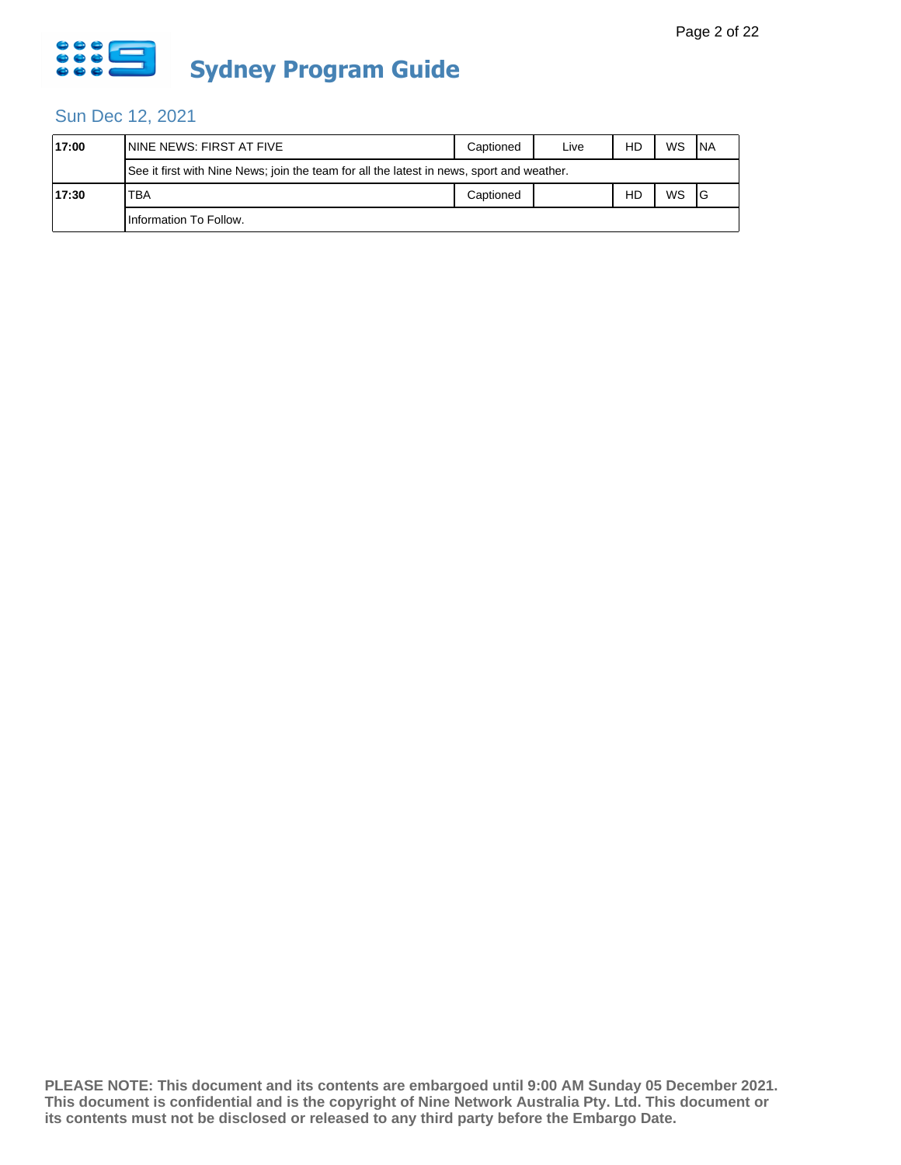

| 17:00 | ININE NEWS: FIRST AT FIVE                                                                 | Captioned | Live | HD | WS | <b>INA</b> |  |  |
|-------|-------------------------------------------------------------------------------------------|-----------|------|----|----|------------|--|--|
|       | See it first with Nine News; join the team for all the latest in news, sport and weather. |           |      |    |    |            |  |  |
| 17:30 | TBA                                                                                       | Captioned |      | HD | WS | IG         |  |  |
|       | Information To Follow.                                                                    |           |      |    |    |            |  |  |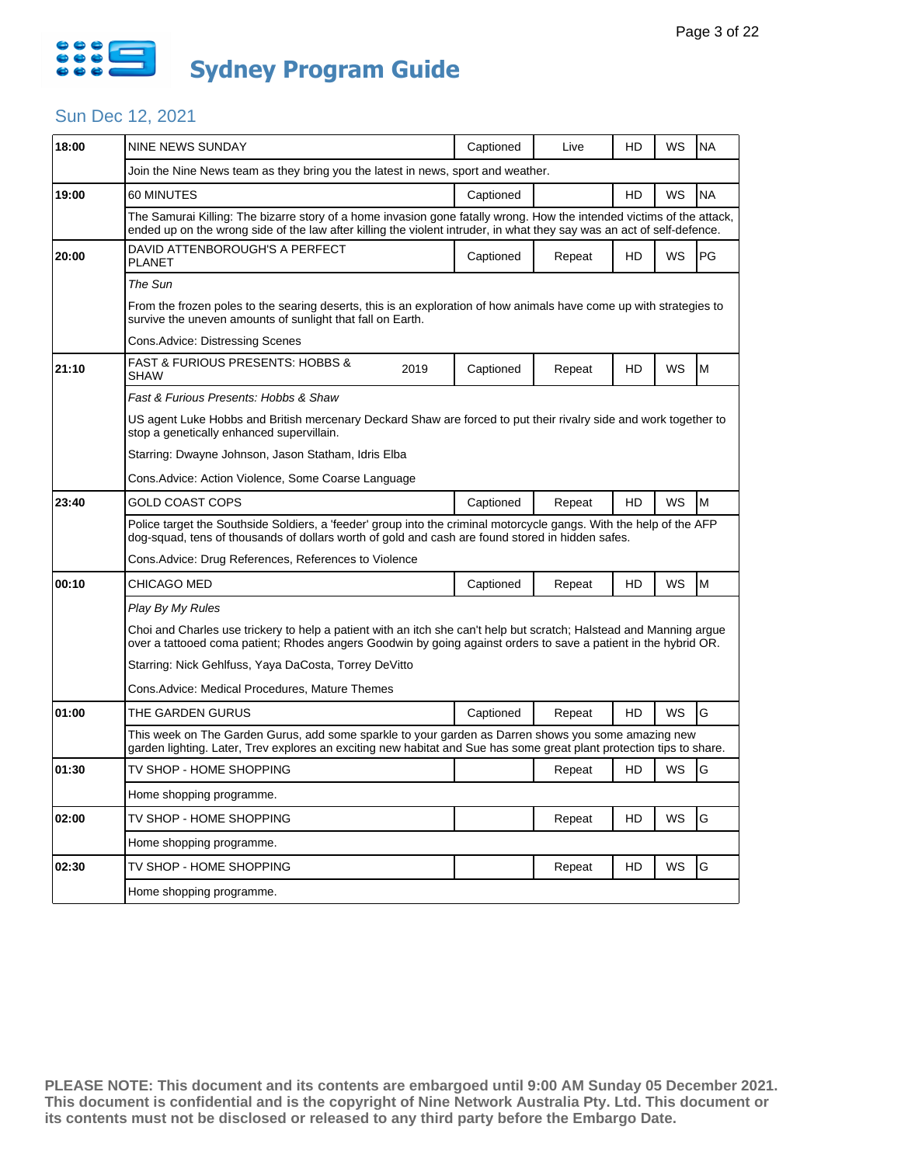

|                                                                                                                                                                                                                                        |                                       |                                                                                                                                                               |                        |                                                                                          |           | <b>NA</b>                                                                                                                                                                                                                                                                                                                                                                                                                                                                                  |  |  |
|----------------------------------------------------------------------------------------------------------------------------------------------------------------------------------------------------------------------------------------|---------------------------------------|---------------------------------------------------------------------------------------------------------------------------------------------------------------|------------------------|------------------------------------------------------------------------------------------|-----------|--------------------------------------------------------------------------------------------------------------------------------------------------------------------------------------------------------------------------------------------------------------------------------------------------------------------------------------------------------------------------------------------------------------------------------------------------------------------------------------------|--|--|
|                                                                                                                                                                                                                                        |                                       |                                                                                                                                                               |                        |                                                                                          |           |                                                                                                                                                                                                                                                                                                                                                                                                                                                                                            |  |  |
|                                                                                                                                                                                                                                        |                                       |                                                                                                                                                               |                        |                                                                                          |           | <b>NA</b>                                                                                                                                                                                                                                                                                                                                                                                                                                                                                  |  |  |
|                                                                                                                                                                                                                                        |                                       |                                                                                                                                                               |                        |                                                                                          |           |                                                                                                                                                                                                                                                                                                                                                                                                                                                                                            |  |  |
| DAVID ATTENBOROUGH'S A PERFECT<br><b>PLANET</b>                                                                                                                                                                                        |                                       | Captioned                                                                                                                                                     | Repeat                 | HD                                                                                       | <b>WS</b> | PG                                                                                                                                                                                                                                                                                                                                                                                                                                                                                         |  |  |
| The Sun                                                                                                                                                                                                                                |                                       |                                                                                                                                                               |                        |                                                                                          |           |                                                                                                                                                                                                                                                                                                                                                                                                                                                                                            |  |  |
| From the frozen poles to the searing deserts, this is an exploration of how animals have come up with strategies to<br>survive the uneven amounts of sunlight that fall on Earth.                                                      |                                       |                                                                                                                                                               |                        |                                                                                          |           |                                                                                                                                                                                                                                                                                                                                                                                                                                                                                            |  |  |
| Cons.Advice: Distressing Scenes                                                                                                                                                                                                        |                                       |                                                                                                                                                               |                        |                                                                                          |           |                                                                                                                                                                                                                                                                                                                                                                                                                                                                                            |  |  |
| <b>FAST &amp; FURIOUS PRESENTS: HOBBS &amp;</b><br>SHAW                                                                                                                                                                                | 2019                                  | Captioned                                                                                                                                                     | Repeat                 | HD                                                                                       | <b>WS</b> | M                                                                                                                                                                                                                                                                                                                                                                                                                                                                                          |  |  |
| Fast & Furious Presents: Hobbs & Shaw                                                                                                                                                                                                  |                                       |                                                                                                                                                               |                        |                                                                                          |           |                                                                                                                                                                                                                                                                                                                                                                                                                                                                                            |  |  |
| US agent Luke Hobbs and British mercenary Deckard Shaw are forced to put their rivalry side and work together to<br>stop a genetically enhanced supervillain.                                                                          |                                       |                                                                                                                                                               |                        |                                                                                          |           |                                                                                                                                                                                                                                                                                                                                                                                                                                                                                            |  |  |
| Starring: Dwayne Johnson, Jason Statham, Idris Elba                                                                                                                                                                                    |                                       |                                                                                                                                                               |                        |                                                                                          |           |                                                                                                                                                                                                                                                                                                                                                                                                                                                                                            |  |  |
|                                                                                                                                                                                                                                        |                                       |                                                                                                                                                               |                        |                                                                                          |           |                                                                                                                                                                                                                                                                                                                                                                                                                                                                                            |  |  |
| GOLD COAST COPS                                                                                                                                                                                                                        |                                       | Captioned                                                                                                                                                     | Repeat                 | HD                                                                                       | <b>WS</b> | M                                                                                                                                                                                                                                                                                                                                                                                                                                                                                          |  |  |
| Police target the Southside Soldiers, a 'feeder' group into the criminal motorcycle gangs. With the help of the AFP<br>dog-squad, tens of thousands of dollars worth of gold and cash are found stored in hidden safes.                |                                       |                                                                                                                                                               |                        |                                                                                          |           |                                                                                                                                                                                                                                                                                                                                                                                                                                                                                            |  |  |
| Cons.Advice: Drug References, References to Violence                                                                                                                                                                                   |                                       |                                                                                                                                                               |                        |                                                                                          |           |                                                                                                                                                                                                                                                                                                                                                                                                                                                                                            |  |  |
| CHICAGO MED                                                                                                                                                                                                                            |                                       | Captioned                                                                                                                                                     | Repeat                 | HD                                                                                       | WS        | M                                                                                                                                                                                                                                                                                                                                                                                                                                                                                          |  |  |
| Play By My Rules                                                                                                                                                                                                                       |                                       |                                                                                                                                                               |                        |                                                                                          |           |                                                                                                                                                                                                                                                                                                                                                                                                                                                                                            |  |  |
| Choi and Charles use trickery to help a patient with an itch she can't help but scratch; Halstead and Manning argue<br>over a tattooed coma patient; Rhodes angers Goodwin by going against orders to save a patient in the hybrid OR. |                                       |                                                                                                                                                               |                        |                                                                                          |           |                                                                                                                                                                                                                                                                                                                                                                                                                                                                                            |  |  |
|                                                                                                                                                                                                                                        |                                       |                                                                                                                                                               |                        |                                                                                          |           |                                                                                                                                                                                                                                                                                                                                                                                                                                                                                            |  |  |
|                                                                                                                                                                                                                                        |                                       |                                                                                                                                                               |                        |                                                                                          |           |                                                                                                                                                                                                                                                                                                                                                                                                                                                                                            |  |  |
| THE GARDEN GURUS                                                                                                                                                                                                                       |                                       | Captioned                                                                                                                                                     | Repeat                 | HD                                                                                       | <b>WS</b> | G                                                                                                                                                                                                                                                                                                                                                                                                                                                                                          |  |  |
|                                                                                                                                                                                                                                        |                                       |                                                                                                                                                               |                        |                                                                                          |           |                                                                                                                                                                                                                                                                                                                                                                                                                                                                                            |  |  |
| TV SHOP - HOME SHOPPING                                                                                                                                                                                                                |                                       |                                                                                                                                                               | Repeat                 | HD                                                                                       | WS        | G                                                                                                                                                                                                                                                                                                                                                                                                                                                                                          |  |  |
| Home shopping programme.                                                                                                                                                                                                               |                                       |                                                                                                                                                               |                        |                                                                                          |           |                                                                                                                                                                                                                                                                                                                                                                                                                                                                                            |  |  |
|                                                                                                                                                                                                                                        |                                       |                                                                                                                                                               |                        |                                                                                          |           |                                                                                                                                                                                                                                                                                                                                                                                                                                                                                            |  |  |
| TV SHOP - HOME SHOPPING                                                                                                                                                                                                                |                                       |                                                                                                                                                               | Repeat                 | HD                                                                                       | WS        | G                                                                                                                                                                                                                                                                                                                                                                                                                                                                                          |  |  |
| Home shopping programme.                                                                                                                                                                                                               |                                       |                                                                                                                                                               |                        |                                                                                          |           |                                                                                                                                                                                                                                                                                                                                                                                                                                                                                            |  |  |
| TV SHOP - HOME SHOPPING                                                                                                                                                                                                                |                                       |                                                                                                                                                               | Repeat                 | HD                                                                                       | WS        | G                                                                                                                                                                                                                                                                                                                                                                                                                                                                                          |  |  |
|                                                                                                                                                                                                                                        | <b>NINE NEWS SUNDAY</b><br>60 MINUTES | Cons.Advice: Action Violence, Some Coarse Language<br>Starring: Nick Gehlfuss, Yaya DaCosta, Torrey DeVitto<br>Cons.Advice: Medical Procedures, Mature Themes | Captioned<br>Captioned | Live<br>Join the Nine News team as they bring you the latest in news, sport and weather. | HD<br>HD  | WS<br>WS<br>The Samurai Killing: The bizarre story of a home invasion gone fatally wrong. How the intended victims of the attack,<br>ended up on the wrong side of the law after killing the violent intruder, in what they say was an act of self-defence.<br>This week on The Garden Gurus, add some sparkle to your garden as Darren shows you some amazing new<br>garden lighting. Later, Trev explores an exciting new habitat and Sue has some great plant protection tips to share. |  |  |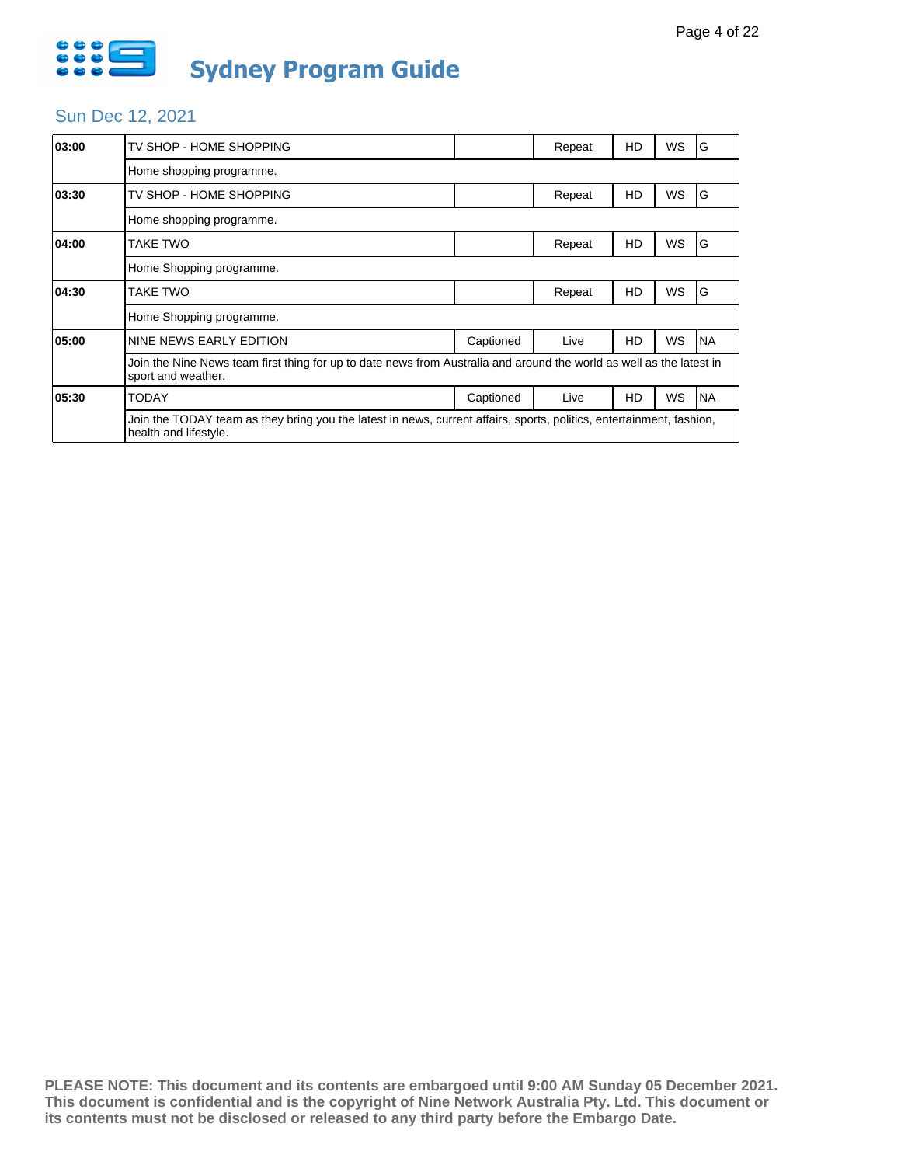

| 03:00 | TV SHOP - HOME SHOPPING                                                                                                                       |           | Repeat | HD | WS        | G         |  |  |
|-------|-----------------------------------------------------------------------------------------------------------------------------------------------|-----------|--------|----|-----------|-----------|--|--|
|       | Home shopping programme.                                                                                                                      |           |        |    |           |           |  |  |
| 03:30 | TV SHOP - HOME SHOPPING                                                                                                                       |           | Repeat | HD | WS        | G         |  |  |
|       | Home shopping programme.                                                                                                                      |           |        |    |           |           |  |  |
| 04:00 | TAKE TWO                                                                                                                                      |           | Repeat | HD | <b>WS</b> | ١G        |  |  |
|       | Home Shopping programme.                                                                                                                      |           |        |    |           |           |  |  |
| 04:30 | TAKE TWO                                                                                                                                      |           | Repeat | HD | WS        | ١G        |  |  |
|       | Home Shopping programme.                                                                                                                      |           |        |    |           |           |  |  |
| 05:00 | NINE NEWS EARLY EDITION                                                                                                                       | Captioned | Live   | HD | WS        | <b>NA</b> |  |  |
|       | Join the Nine News team first thing for up to date news from Australia and around the world as well as the latest in<br>sport and weather.    |           |        |    |           |           |  |  |
| 05:30 | TODAY                                                                                                                                         | Captioned | Live   | HD | WS        | <b>NA</b> |  |  |
|       | Join the TODAY team as they bring you the latest in news, current affairs, sports, politics, entertainment, fashion,<br>health and lifestyle. |           |        |    |           |           |  |  |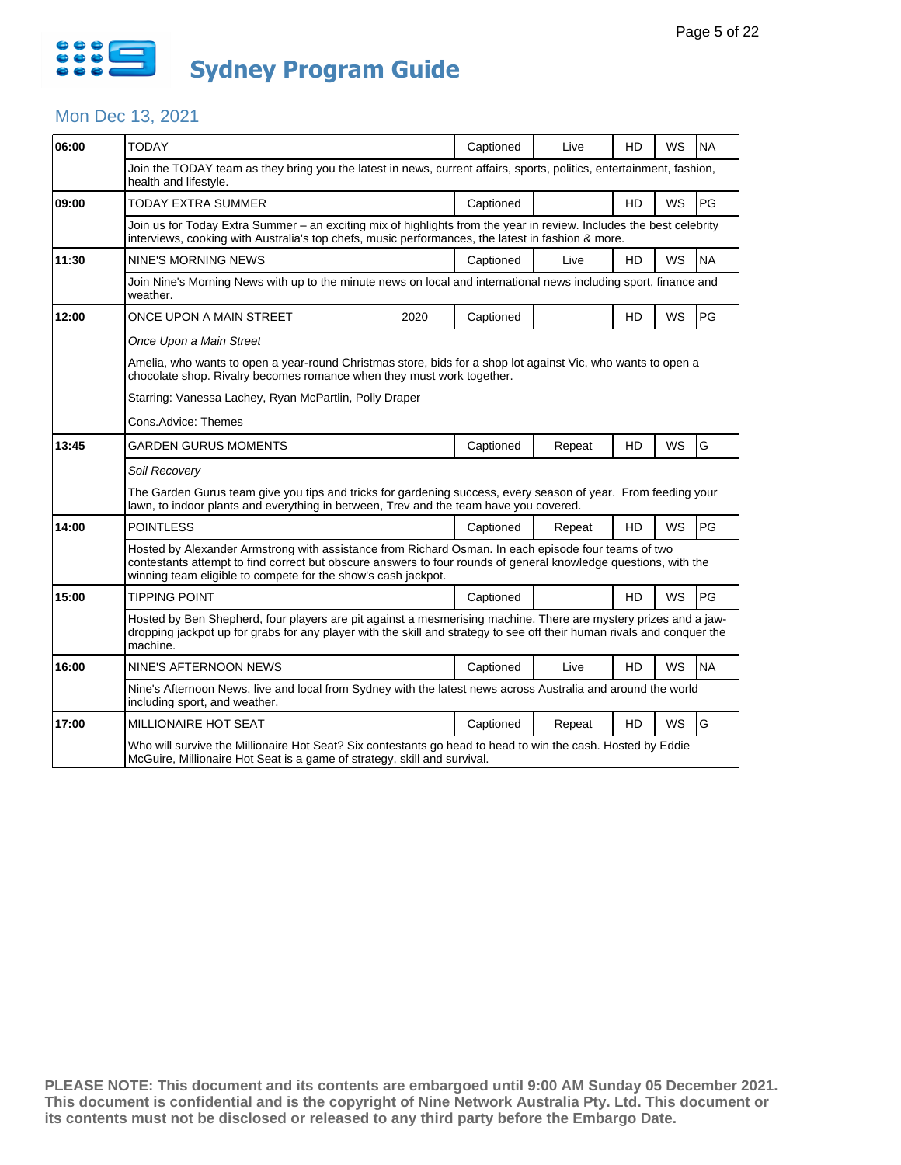

#### Mon Dec 13, 2021

| 06:00 | <b>TODAY</b>                                                                                                                                                                                                                                                                            | Captioned | Live   | HD | WS        | <b>NA</b> |  |  |
|-------|-----------------------------------------------------------------------------------------------------------------------------------------------------------------------------------------------------------------------------------------------------------------------------------------|-----------|--------|----|-----------|-----------|--|--|
|       | Join the TODAY team as they bring you the latest in news, current affairs, sports, politics, entertainment, fashion,<br>health and lifestyle.                                                                                                                                           |           |        |    |           |           |  |  |
| 09:00 | TODAY EXTRA SUMMER                                                                                                                                                                                                                                                                      | Captioned |        | HD | WS        | PG        |  |  |
|       | Join us for Today Extra Summer - an exciting mix of highlights from the year in review. Includes the best celebrity<br>interviews, cooking with Australia's top chefs, music performances, the latest in fashion & more.                                                                |           |        |    |           |           |  |  |
| 11:30 | <b>NINE'S MORNING NEWS</b>                                                                                                                                                                                                                                                              | Captioned | Live   | HD | WS        | <b>NA</b> |  |  |
|       | Join Nine's Morning News with up to the minute news on local and international news including sport, finance and<br>weather.                                                                                                                                                            |           |        |    |           |           |  |  |
| 12:00 | ONCE UPON A MAIN STREET<br>2020                                                                                                                                                                                                                                                         | Captioned |        | HD | WS        | PG        |  |  |
|       | Once Upon a Main Street                                                                                                                                                                                                                                                                 |           |        |    |           |           |  |  |
|       | Amelia, who wants to open a year-round Christmas store, bids for a shop lot against Vic, who wants to open a<br>chocolate shop. Rivalry becomes romance when they must work together.                                                                                                   |           |        |    |           |           |  |  |
|       | Starring: Vanessa Lachey, Ryan McPartlin, Polly Draper                                                                                                                                                                                                                                  |           |        |    |           |           |  |  |
|       | Cons.Advice: Themes                                                                                                                                                                                                                                                                     |           |        |    |           |           |  |  |
| 13:45 | GARDEN GURUS MOMENTS                                                                                                                                                                                                                                                                    | Captioned | Repeat | HD | WS        | G         |  |  |
|       | Soil Recovery                                                                                                                                                                                                                                                                           |           |        |    |           |           |  |  |
|       | The Garden Gurus team give you tips and tricks for gardening success, every season of year. From feeding your<br>lawn, to indoor plants and everything in between. Trev and the team have you covered.                                                                                  |           |        |    |           |           |  |  |
| 14:00 | <b>POINTLESS</b>                                                                                                                                                                                                                                                                        | Captioned | Repeat | HD | <b>WS</b> | <b>PG</b> |  |  |
|       | Hosted by Alexander Armstrong with assistance from Richard Osman. In each episode four teams of two<br>contestants attempt to find correct but obscure answers to four rounds of general knowledge questions, with the<br>winning team eligible to compete for the show's cash jackpot. |           |        |    |           |           |  |  |
| 15:00 | <b>TIPPING POINT</b>                                                                                                                                                                                                                                                                    | Captioned |        | HD | <b>WS</b> | PG        |  |  |
|       | Hosted by Ben Shepherd, four players are pit against a mesmerising machine. There are mystery prizes and a jaw-<br>dropping jackpot up for grabs for any player with the skill and strategy to see off their human rivals and conquer the<br>machine.                                   |           |        |    |           |           |  |  |
| 16:00 | NINE'S AFTERNOON NEWS                                                                                                                                                                                                                                                                   | Captioned | Live   | HD | WS        | <b>NA</b> |  |  |
|       | Nine's Afternoon News, live and local from Sydney with the latest news across Australia and around the world<br>including sport, and weather.                                                                                                                                           |           |        |    |           |           |  |  |
| 17:00 | MILLIONAIRE HOT SEAT                                                                                                                                                                                                                                                                    | Captioned | Repeat | HD | WS        | G         |  |  |
|       | Who will survive the Millionaire Hot Seat? Six contestants go head to head to win the cash. Hosted by Eddie<br>McGuire, Millionaire Hot Seat is a game of strategy, skill and survival.                                                                                                 |           |        |    |           |           |  |  |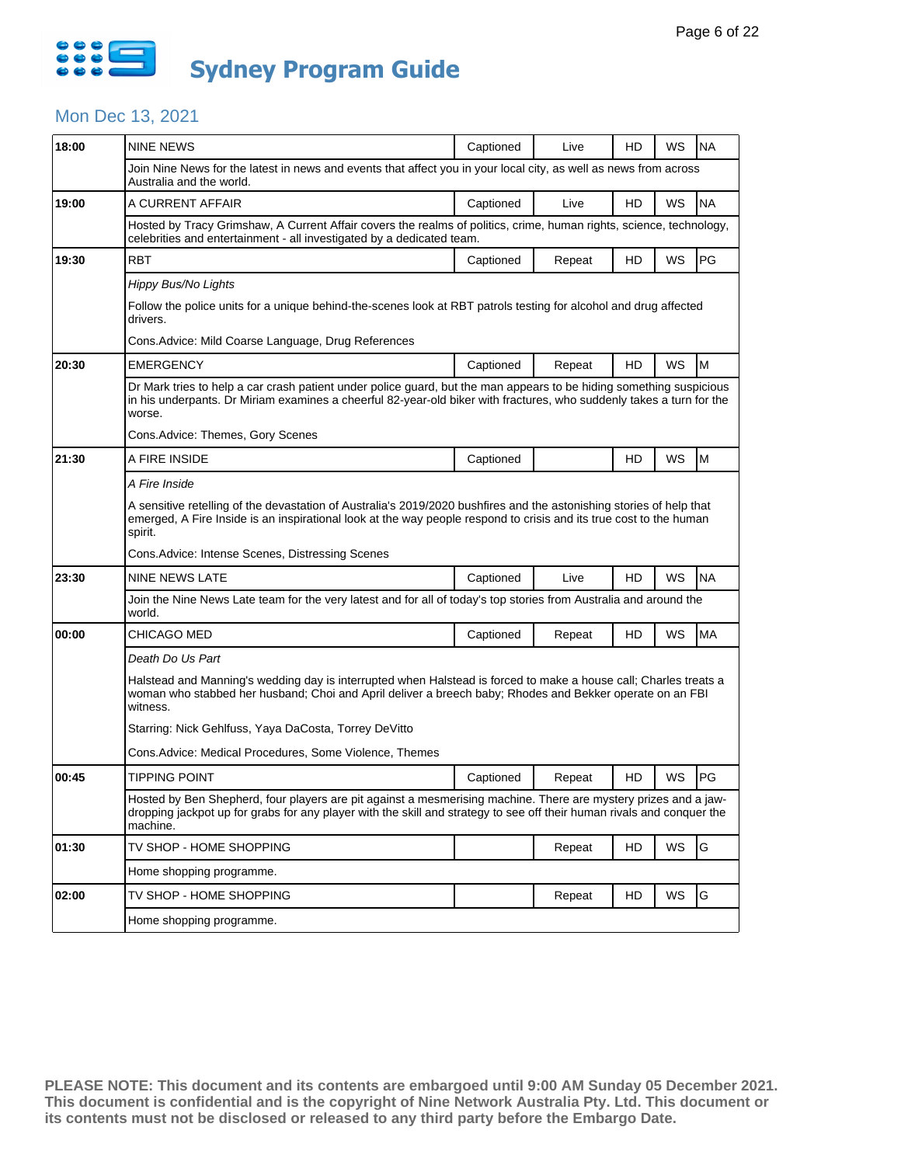

### Mon Dec 13, 2021

| 18:00 | <b>NINE NEWS</b>                                                                                                                                                                                                                                                                           | Captioned                                                                                                                                                                                                                                 | Live   | HD | WS | <b>NA</b> |  |  |
|-------|--------------------------------------------------------------------------------------------------------------------------------------------------------------------------------------------------------------------------------------------------------------------------------------------|-------------------------------------------------------------------------------------------------------------------------------------------------------------------------------------------------------------------------------------------|--------|----|----|-----------|--|--|
|       | Join Nine News for the latest in news and events that affect you in your local city, as well as news from across<br>Australia and the world.                                                                                                                                               |                                                                                                                                                                                                                                           |        |    |    |           |  |  |
| 19:00 | A CURRENT AFFAIR                                                                                                                                                                                                                                                                           | Captioned                                                                                                                                                                                                                                 | Live   | HD | WS | <b>NA</b> |  |  |
|       | Hosted by Tracy Grimshaw, A Current Affair covers the realms of politics, crime, human rights, science, technology,<br>celebrities and entertainment - all investigated by a dedicated team.                                                                                               |                                                                                                                                                                                                                                           |        |    |    |           |  |  |
| 19:30 | RBT                                                                                                                                                                                                                                                                                        | Captioned                                                                                                                                                                                                                                 | Repeat | HD | WS | PG        |  |  |
|       | Hippy Bus/No Lights<br>Follow the police units for a unique behind-the-scenes look at RBT patrols testing for alcohol and drug affected<br>drivers.<br>Cons. Advice: Mild Coarse Language, Drug References                                                                                 |                                                                                                                                                                                                                                           |        |    |    |           |  |  |
| 20:30 | <b>EMERGENCY</b>                                                                                                                                                                                                                                                                           | Captioned                                                                                                                                                                                                                                 | Repeat | HD | WS | M         |  |  |
|       | Dr Mark tries to help a car crash patient under police guard, but the man appears to be hiding something suspicious<br>in his underpants. Dr Miriam examines a cheerful 82-year-old biker with fractures, who suddenly takes a turn for the<br>worse.<br>Cons. Advice: Themes, Gory Scenes |                                                                                                                                                                                                                                           |        |    |    |           |  |  |
| 21:30 | A FIRE INSIDE                                                                                                                                                                                                                                                                              | Captioned                                                                                                                                                                                                                                 |        | HD | WS | M         |  |  |
|       | A Fire Inside                                                                                                                                                                                                                                                                              |                                                                                                                                                                                                                                           |        |    |    |           |  |  |
|       | A sensitive retelling of the devastation of Australia's 2019/2020 bushfires and the astonishing stories of help that<br>emerged, A Fire Inside is an inspirational look at the way people respond to crisis and its true cost to the human<br>spirit.                                      |                                                                                                                                                                                                                                           |        |    |    |           |  |  |
|       | Cons. Advice: Intense Scenes, Distressing Scenes                                                                                                                                                                                                                                           |                                                                                                                                                                                                                                           |        |    |    |           |  |  |
| 23:30 | NINE NEWS LATE                                                                                                                                                                                                                                                                             | Captioned                                                                                                                                                                                                                                 | Live   | HD | WS | <b>NA</b> |  |  |
|       | Join the Nine News Late team for the very latest and for all of today's top stories from Australia and around the<br>world.                                                                                                                                                                |                                                                                                                                                                                                                                           |        |    |    |           |  |  |
| 00:00 | CHICAGO MED                                                                                                                                                                                                                                                                                | Captioned                                                                                                                                                                                                                                 | Repeat | HD | WS | MA        |  |  |
|       | Death Do Us Part                                                                                                                                                                                                                                                                           |                                                                                                                                                                                                                                           |        |    |    |           |  |  |
|       | Halstead and Manning's wedding day is interrupted when Halstead is forced to make a house call; Charles treats a<br>woman who stabbed her husband; Choi and April deliver a breech baby; Rhodes and Bekker operate on an FBI<br>witness.                                                   |                                                                                                                                                                                                                                           |        |    |    |           |  |  |
|       | Starring: Nick Gehlfuss, Yaya DaCosta, Torrey DeVitto                                                                                                                                                                                                                                      |                                                                                                                                                                                                                                           |        |    |    |           |  |  |
|       | Cons.Advice: Medical Procedures, Some Violence, Themes                                                                                                                                                                                                                                     |                                                                                                                                                                                                                                           |        |    |    |           |  |  |
| 00:45 | <b>TIPPING POINT</b>                                                                                                                                                                                                                                                                       | Captioned                                                                                                                                                                                                                                 | Repeat | HD | WS | PG        |  |  |
|       | machine.                                                                                                                                                                                                                                                                                   | Hosted by Ben Shepherd, four players are pit against a mesmerising machine. There are mystery prizes and a jaw-<br>dropping jackpot up for grabs for any player with the skill and strategy to see off their human rivals and conquer the |        |    |    |           |  |  |
| 01:30 | TV SHOP - HOME SHOPPING                                                                                                                                                                                                                                                                    |                                                                                                                                                                                                                                           | Repeat | HD | WS | G         |  |  |
|       | Home shopping programme.                                                                                                                                                                                                                                                                   |                                                                                                                                                                                                                                           |        |    |    |           |  |  |
| 02:00 | TV SHOP - HOME SHOPPING                                                                                                                                                                                                                                                                    |                                                                                                                                                                                                                                           | Repeat | HD | WS | G         |  |  |
|       | Home shopping programme.                                                                                                                                                                                                                                                                   |                                                                                                                                                                                                                                           |        |    |    |           |  |  |
|       |                                                                                                                                                                                                                                                                                            |                                                                                                                                                                                                                                           |        |    |    |           |  |  |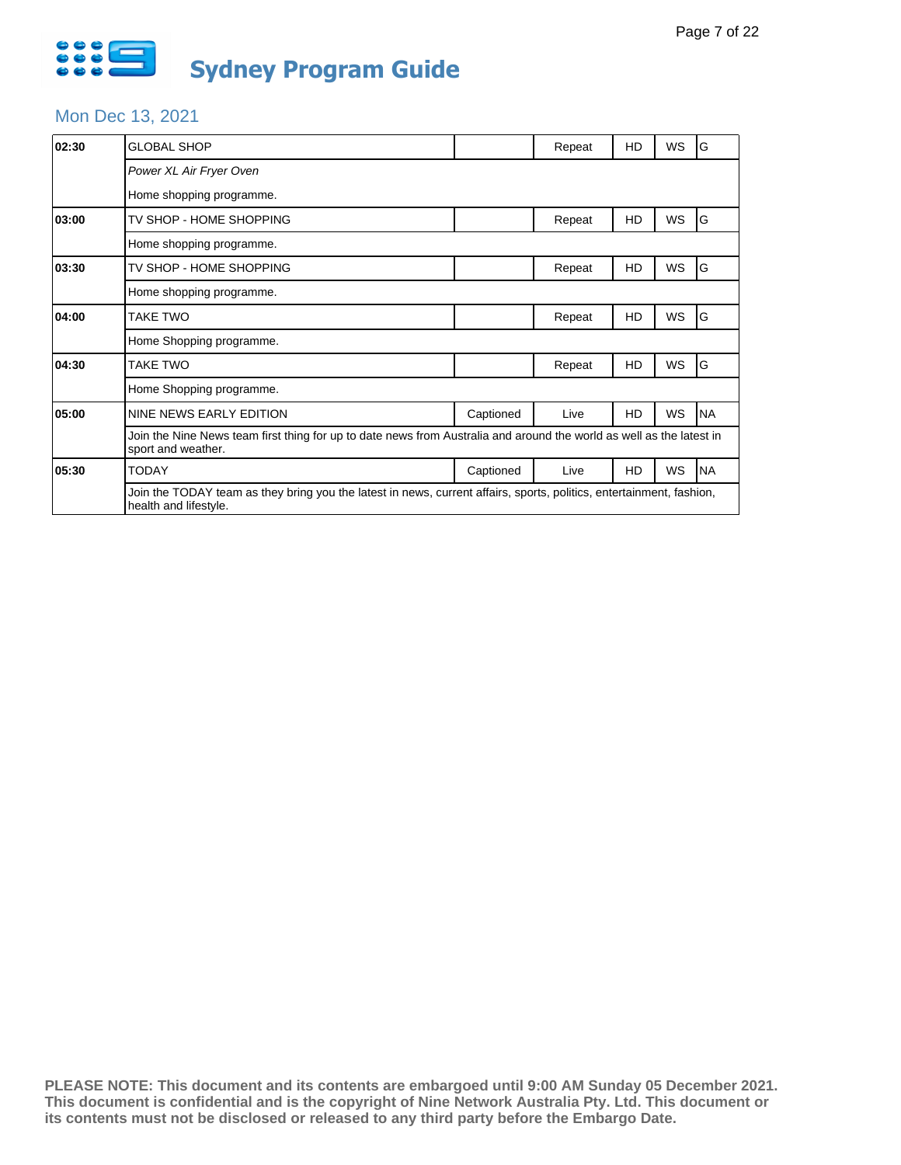

### Mon Dec 13, 2021

| 02:30 | GLOBAL SHOP                                                                                                                                   |           | Repeat | HD | WS        | G         |  |  |
|-------|-----------------------------------------------------------------------------------------------------------------------------------------------|-----------|--------|----|-----------|-----------|--|--|
|       | Power XL Air Fryer Oven                                                                                                                       |           |        |    |           |           |  |  |
|       | Home shopping programme.                                                                                                                      |           |        |    |           |           |  |  |
| 03:00 | TV SHOP - HOME SHOPPING                                                                                                                       |           | Repeat | HD | WS        | G         |  |  |
|       | Home shopping programme.                                                                                                                      |           |        |    |           |           |  |  |
| 03:30 | TV SHOP - HOME SHOPPING                                                                                                                       |           | Repeat | HD | WS        | ΙG        |  |  |
|       | Home shopping programme.                                                                                                                      |           |        |    |           |           |  |  |
| 04:00 | TAKE TWO                                                                                                                                      |           | Repeat | HD | WS        | G         |  |  |
|       | Home Shopping programme.                                                                                                                      |           |        |    |           |           |  |  |
| 04:30 | TAKE TWO                                                                                                                                      |           | Repeat | HD | <b>WS</b> | ΙG        |  |  |
|       | Home Shopping programme.                                                                                                                      |           |        |    |           |           |  |  |
| 05:00 | NINE NEWS EARLY EDITION                                                                                                                       | Captioned | Live   | HD | WS        | <b>NA</b> |  |  |
|       | Join the Nine News team first thing for up to date news from Australia and around the world as well as the latest in<br>sport and weather.    |           |        |    |           |           |  |  |
| 05:30 | <b>TODAY</b>                                                                                                                                  | Captioned | Live   | HD | WS        | <b>NA</b> |  |  |
|       | Join the TODAY team as they bring you the latest in news, current affairs, sports, politics, entertainment, fashion,<br>health and lifestyle. |           |        |    |           |           |  |  |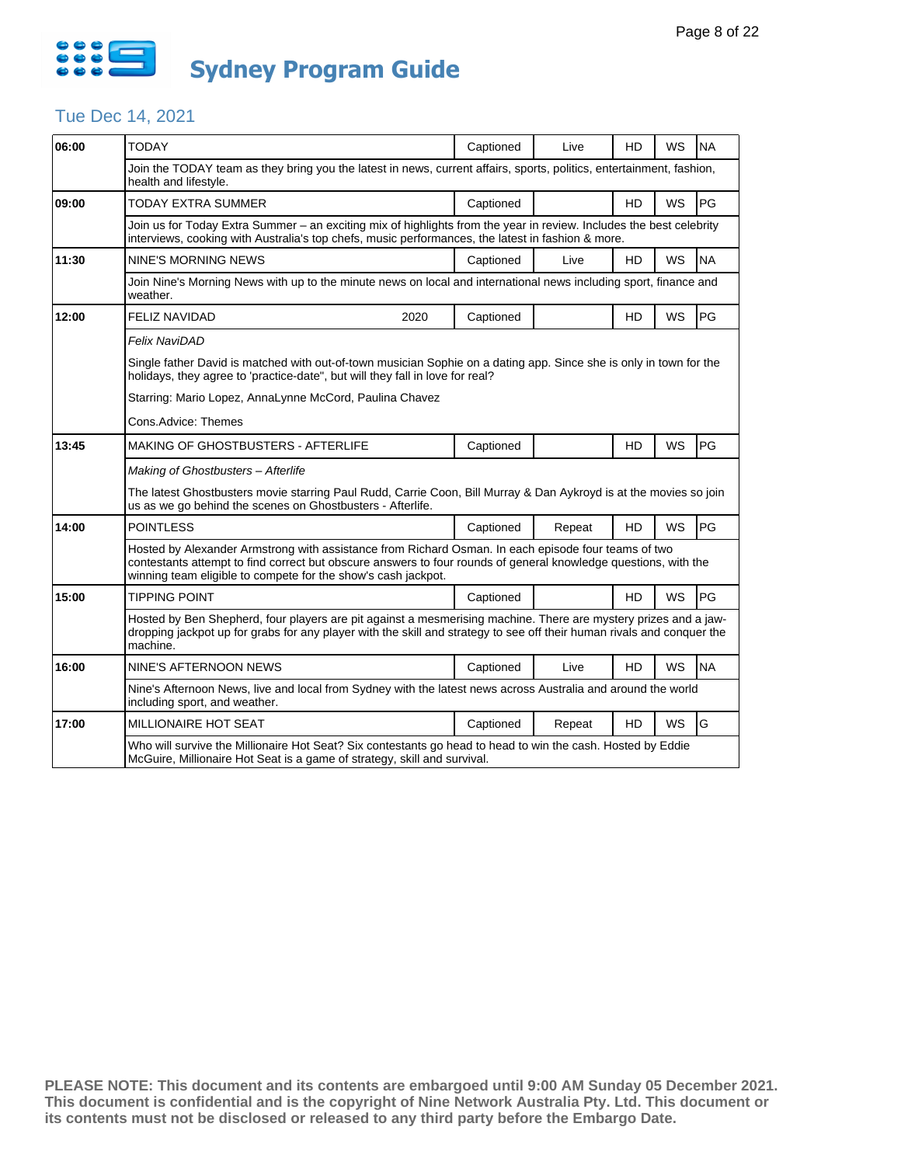

## Tue Dec 14, 2021

| 06:00 | <b>TODAY</b>                                                                                                                                                                                                                                                                            | Captioned | Live   | HD        | WS        | <b>NA</b> |  |  |  |
|-------|-----------------------------------------------------------------------------------------------------------------------------------------------------------------------------------------------------------------------------------------------------------------------------------------|-----------|--------|-----------|-----------|-----------|--|--|--|
|       | Join the TODAY team as they bring you the latest in news, current affairs, sports, politics, entertainment, fashion,<br>health and lifestyle.                                                                                                                                           |           |        |           |           |           |  |  |  |
| 09:00 | TODAY EXTRA SUMMER                                                                                                                                                                                                                                                                      | Captioned |        | HD        | WS        | PG        |  |  |  |
|       | Join us for Today Extra Summer - an exciting mix of highlights from the year in review. Includes the best celebrity<br>interviews, cooking with Australia's top chefs, music performances, the latest in fashion & more.                                                                |           |        |           |           |           |  |  |  |
| 11:30 | NINE'S MORNING NEWS                                                                                                                                                                                                                                                                     | Captioned | Live   | HD        | WS        | <b>NA</b> |  |  |  |
|       | Join Nine's Morning News with up to the minute news on local and international news including sport, finance and<br>weather.                                                                                                                                                            |           |        |           |           |           |  |  |  |
| 12:00 | <b>FELIZ NAVIDAD</b><br>2020                                                                                                                                                                                                                                                            | Captioned |        | HD        | <b>WS</b> | PG        |  |  |  |
|       | Felix NaviDAD                                                                                                                                                                                                                                                                           |           |        |           |           |           |  |  |  |
|       | Single father David is matched with out-of-town musician Sophie on a dating app. Since she is only in town for the<br>holidays, they agree to 'practice-date", but will they fall in love for real?                                                                                     |           |        |           |           |           |  |  |  |
|       | Starring: Mario Lopez, AnnaLynne McCord, Paulina Chavez                                                                                                                                                                                                                                 |           |        |           |           |           |  |  |  |
|       | Cons.Advice: Themes                                                                                                                                                                                                                                                                     |           |        |           |           |           |  |  |  |
| 13:45 | MAKING OF GHOSTBUSTERS - AFTERLIFE                                                                                                                                                                                                                                                      | Captioned |        | HD        | <b>WS</b> | PG        |  |  |  |
|       | Making of Ghostbusters - Afterlife                                                                                                                                                                                                                                                      |           |        |           |           |           |  |  |  |
|       | The latest Ghostbusters movie starring Paul Rudd, Carrie Coon, Bill Murray & Dan Aykroyd is at the movies so join<br>us as we go behind the scenes on Ghostbusters - Afterlife.                                                                                                         |           |        |           |           |           |  |  |  |
| 14:00 | <b>POINTLESS</b>                                                                                                                                                                                                                                                                        | Captioned | Repeat | <b>HD</b> | <b>WS</b> | PG        |  |  |  |
|       | Hosted by Alexander Armstrong with assistance from Richard Osman. In each episode four teams of two<br>contestants attempt to find correct but obscure answers to four rounds of general knowledge questions, with the<br>winning team eligible to compete for the show's cash jackpot. |           |        |           |           |           |  |  |  |
| 15:00 | <b>TIPPING POINT</b>                                                                                                                                                                                                                                                                    | Captioned |        | HD        | <b>WS</b> | PG        |  |  |  |
|       | Hosted by Ben Shepherd, four players are pit against a mesmerising machine. There are mystery prizes and a jaw-<br>dropping jackpot up for grabs for any player with the skill and strategy to see off their human rivals and conquer the<br>machine.                                   |           |        |           |           |           |  |  |  |
| 16:00 | NINE'S AFTERNOON NEWS                                                                                                                                                                                                                                                                   | Captioned | Live   | HD        | WS        | <b>NA</b> |  |  |  |
|       | Nine's Afternoon News, live and local from Sydney with the latest news across Australia and around the world<br>including sport, and weather.                                                                                                                                           |           |        |           |           |           |  |  |  |
| 17:00 | MILLIONAIRE HOT SEAT                                                                                                                                                                                                                                                                    | Captioned | Repeat | HD        | WS        | G         |  |  |  |
|       | Who will survive the Millionaire Hot Seat? Six contestants go head to head to win the cash. Hosted by Eddie<br>McGuire, Millionaire Hot Seat is a game of strategy, skill and survival.                                                                                                 |           |        |           |           |           |  |  |  |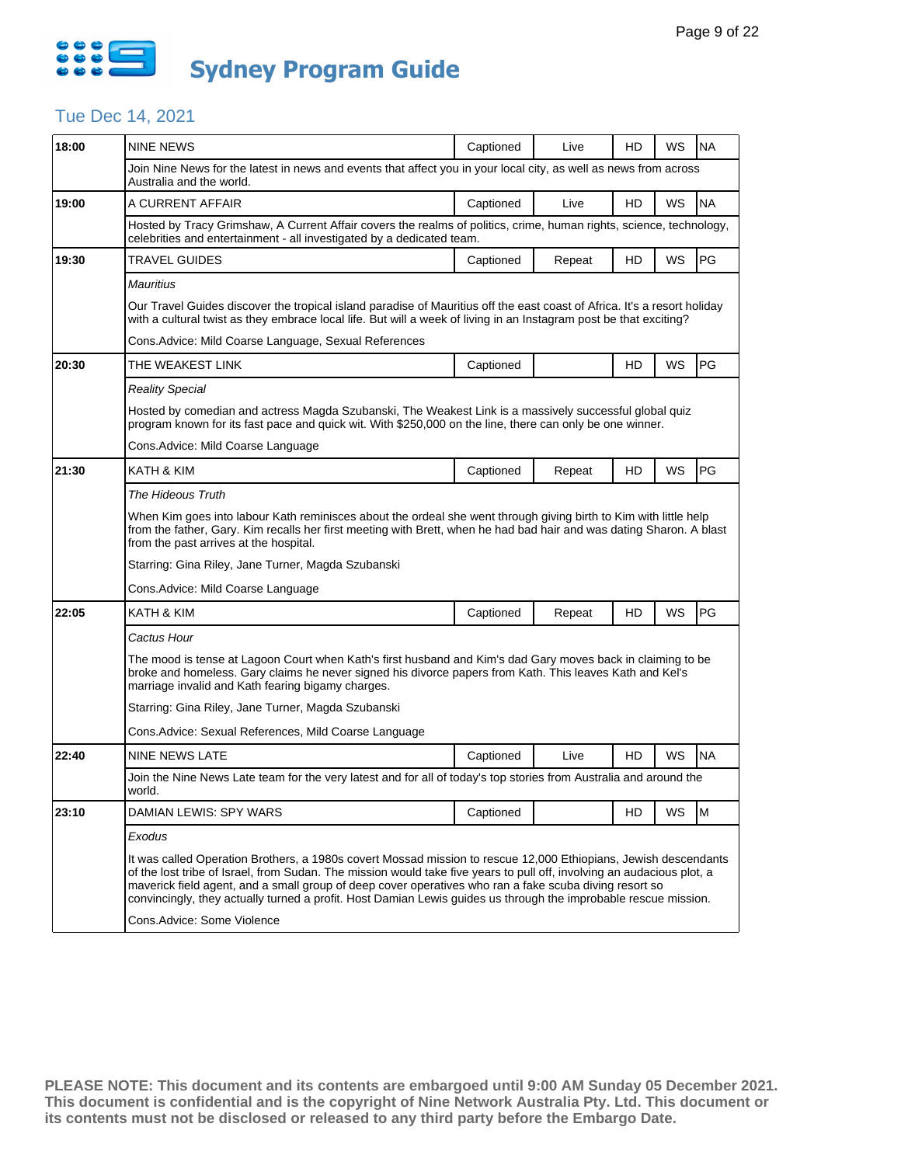

# Tue Dec 14, 2021

| 18:00 | <b>NINE NEWS</b>                                                                                                                                                                                                                                                                                                                                                                                                                                                       | Captioned | Live   | HD | WS | <b>NA</b> |  |  |  |
|-------|------------------------------------------------------------------------------------------------------------------------------------------------------------------------------------------------------------------------------------------------------------------------------------------------------------------------------------------------------------------------------------------------------------------------------------------------------------------------|-----------|--------|----|----|-----------|--|--|--|
|       | Join Nine News for the latest in news and events that affect you in your local city, as well as news from across<br>Australia and the world.                                                                                                                                                                                                                                                                                                                           |           |        |    |    |           |  |  |  |
| 19:00 | A CURRENT AFFAIR                                                                                                                                                                                                                                                                                                                                                                                                                                                       | Captioned | Live   | HD | WS | <b>NA</b> |  |  |  |
|       | Hosted by Tracy Grimshaw, A Current Affair covers the realms of politics, crime, human rights, science, technology,<br>celebrities and entertainment - all investigated by a dedicated team.                                                                                                                                                                                                                                                                           |           |        |    |    |           |  |  |  |
| 19:30 | TRAVEL GUIDES                                                                                                                                                                                                                                                                                                                                                                                                                                                          | Captioned | Repeat | HD | WS | PG        |  |  |  |
|       | Mauritius                                                                                                                                                                                                                                                                                                                                                                                                                                                              |           |        |    |    |           |  |  |  |
|       | Our Travel Guides discover the tropical island paradise of Mauritius off the east coast of Africa. It's a resort holiday<br>with a cultural twist as they embrace local life. But will a week of living in an Instagram post be that exciting?                                                                                                                                                                                                                         |           |        |    |    |           |  |  |  |
|       | Cons. Advice: Mild Coarse Language, Sexual References                                                                                                                                                                                                                                                                                                                                                                                                                  |           |        |    |    |           |  |  |  |
| 20:30 | THE WEAKEST LINK                                                                                                                                                                                                                                                                                                                                                                                                                                                       | Captioned |        | HD | WS | PG        |  |  |  |
|       | Reality Special                                                                                                                                                                                                                                                                                                                                                                                                                                                        |           |        |    |    |           |  |  |  |
|       | Hosted by comedian and actress Magda Szubanski, The Weakest Link is a massively successful global quiz<br>program known for its fast pace and quick wit. With \$250,000 on the line, there can only be one winner.                                                                                                                                                                                                                                                     |           |        |    |    |           |  |  |  |
|       | Cons. Advice: Mild Coarse Language                                                                                                                                                                                                                                                                                                                                                                                                                                     |           |        |    |    |           |  |  |  |
| 21:30 | KATH & KIM                                                                                                                                                                                                                                                                                                                                                                                                                                                             | Captioned | Repeat | HD | WS | PG        |  |  |  |
|       | The Hideous Truth                                                                                                                                                                                                                                                                                                                                                                                                                                                      |           |        |    |    |           |  |  |  |
|       | When Kim goes into labour Kath reminisces about the ordeal she went through giving birth to Kim with little help<br>from the father, Gary. Kim recalls her first meeting with Brett, when he had bad hair and was dating Sharon. A blast<br>from the past arrives at the hospital.                                                                                                                                                                                     |           |        |    |    |           |  |  |  |
|       | Starring: Gina Riley, Jane Turner, Magda Szubanski                                                                                                                                                                                                                                                                                                                                                                                                                     |           |        |    |    |           |  |  |  |
|       | Cons.Advice: Mild Coarse Language                                                                                                                                                                                                                                                                                                                                                                                                                                      |           |        |    |    |           |  |  |  |
| 22:05 | KATH & KIM                                                                                                                                                                                                                                                                                                                                                                                                                                                             | Captioned | Repeat | HD | WS | PG        |  |  |  |
|       | Cactus Hour                                                                                                                                                                                                                                                                                                                                                                                                                                                            |           |        |    |    |           |  |  |  |
|       | The mood is tense at Lagoon Court when Kath's first husband and Kim's dad Gary moves back in claiming to be<br>broke and homeless. Gary claims he never signed his divorce papers from Kath. This leaves Kath and Kel's<br>marriage invalid and Kath fearing bigamy charges.                                                                                                                                                                                           |           |        |    |    |           |  |  |  |
|       | Starring: Gina Riley, Jane Turner, Magda Szubanski                                                                                                                                                                                                                                                                                                                                                                                                                     |           |        |    |    |           |  |  |  |
|       | Cons.Advice: Sexual References, Mild Coarse Language                                                                                                                                                                                                                                                                                                                                                                                                                   |           |        |    |    |           |  |  |  |
| 22:40 | <b>NINE NEWS LATE</b>                                                                                                                                                                                                                                                                                                                                                                                                                                                  | Captioned | Live   | HD | WS | <b>NA</b> |  |  |  |
|       | Join the Nine News Late team for the very latest and for all of today's top stories from Australia and around the<br>world.                                                                                                                                                                                                                                                                                                                                            |           |        |    |    |           |  |  |  |
| 23:10 | DAMIAN LEWIS: SPY WARS                                                                                                                                                                                                                                                                                                                                                                                                                                                 | Captioned |        | HD | WS | M         |  |  |  |
|       | Exodus                                                                                                                                                                                                                                                                                                                                                                                                                                                                 |           |        |    |    |           |  |  |  |
|       | It was called Operation Brothers, a 1980s covert Mossad mission to rescue 12,000 Ethiopians, Jewish descendants<br>of the lost tribe of Israel, from Sudan. The mission would take five years to pull off, involving an audacious plot, a<br>maverick field agent, and a small group of deep cover operatives who ran a fake scuba diving resort so<br>convincingly, they actually turned a profit. Host Damian Lewis guides us through the improbable rescue mission. |           |        |    |    |           |  |  |  |
|       |                                                                                                                                                                                                                                                                                                                                                                                                                                                                        |           |        |    |    |           |  |  |  |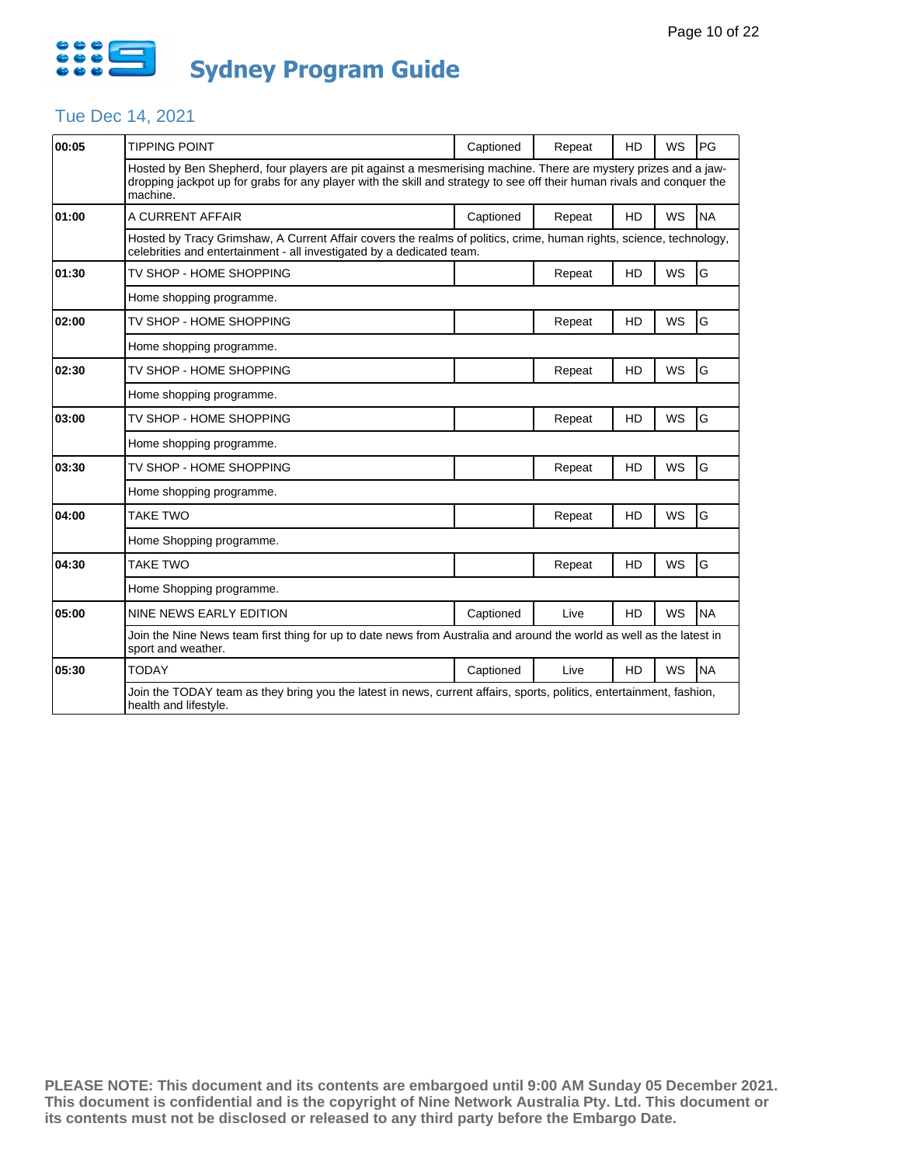

## Tue Dec 14, 2021

| 00:05 | <b>TIPPING POINT</b>                                                                                                                                                                                                                                  | Captioned | Repeat | HD        | WS        | PG        |  |  |
|-------|-------------------------------------------------------------------------------------------------------------------------------------------------------------------------------------------------------------------------------------------------------|-----------|--------|-----------|-----------|-----------|--|--|
|       | Hosted by Ben Shepherd, four players are pit against a mesmerising machine. There are mystery prizes and a jaw-<br>dropping jackpot up for grabs for any player with the skill and strategy to see off their human rivals and conquer the<br>machine. |           |        |           |           |           |  |  |
| 01:00 | A CURRENT AFFAIR                                                                                                                                                                                                                                      | Captioned | Repeat | <b>HD</b> | <b>WS</b> | <b>NA</b> |  |  |
|       | Hosted by Tracy Grimshaw, A Current Affair covers the realms of politics, crime, human rights, science, technology,<br>celebrities and entertainment - all investigated by a dedicated team.                                                          |           |        |           |           |           |  |  |
| 01:30 | TV SHOP - HOME SHOPPING                                                                                                                                                                                                                               |           | Repeat | HD        | WS        | G         |  |  |
|       | Home shopping programme.                                                                                                                                                                                                                              |           |        |           |           |           |  |  |
| 02:00 | TV SHOP - HOME SHOPPING                                                                                                                                                                                                                               |           | Repeat | HD        | WS        | G         |  |  |
|       | Home shopping programme.                                                                                                                                                                                                                              |           |        |           |           |           |  |  |
| 02:30 | TV SHOP - HOME SHOPPING                                                                                                                                                                                                                               |           | Repeat | HD        | <b>WS</b> | G         |  |  |
|       | Home shopping programme.                                                                                                                                                                                                                              |           |        |           |           |           |  |  |
| 03:00 | TV SHOP - HOME SHOPPING                                                                                                                                                                                                                               |           | Repeat | HD        | <b>WS</b> | G         |  |  |
|       | Home shopping programme.                                                                                                                                                                                                                              |           |        |           |           |           |  |  |
| 03:30 | TV SHOP - HOME SHOPPING                                                                                                                                                                                                                               |           | Repeat | HD        | <b>WS</b> | G         |  |  |
|       | Home shopping programme.                                                                                                                                                                                                                              |           |        |           |           |           |  |  |
| 04:00 | <b>TAKE TWO</b>                                                                                                                                                                                                                                       |           | Repeat | HD        | <b>WS</b> | G         |  |  |
|       | Home Shopping programme.                                                                                                                                                                                                                              |           |        |           |           |           |  |  |
| 04:30 | <b>TAKE TWO</b>                                                                                                                                                                                                                                       |           | Repeat | HD        | WS        | G         |  |  |
|       | Home Shopping programme.                                                                                                                                                                                                                              |           |        |           |           |           |  |  |
| 05:00 | <b>NINE NEWS EARLY EDITION</b>                                                                                                                                                                                                                        | Captioned | Live   | HD        | <b>WS</b> | <b>NA</b> |  |  |
|       | Join the Nine News team first thing for up to date news from Australia and around the world as well as the latest in<br>sport and weather.                                                                                                            |           |        |           |           |           |  |  |
| 05:30 | <b>TODAY</b>                                                                                                                                                                                                                                          | Captioned | Live   | <b>HD</b> | WS        | <b>NA</b> |  |  |
|       | Join the TODAY team as they bring you the latest in news, current affairs, sports, politics, entertainment, fashion,<br>health and lifestyle.                                                                                                         |           |        |           |           |           |  |  |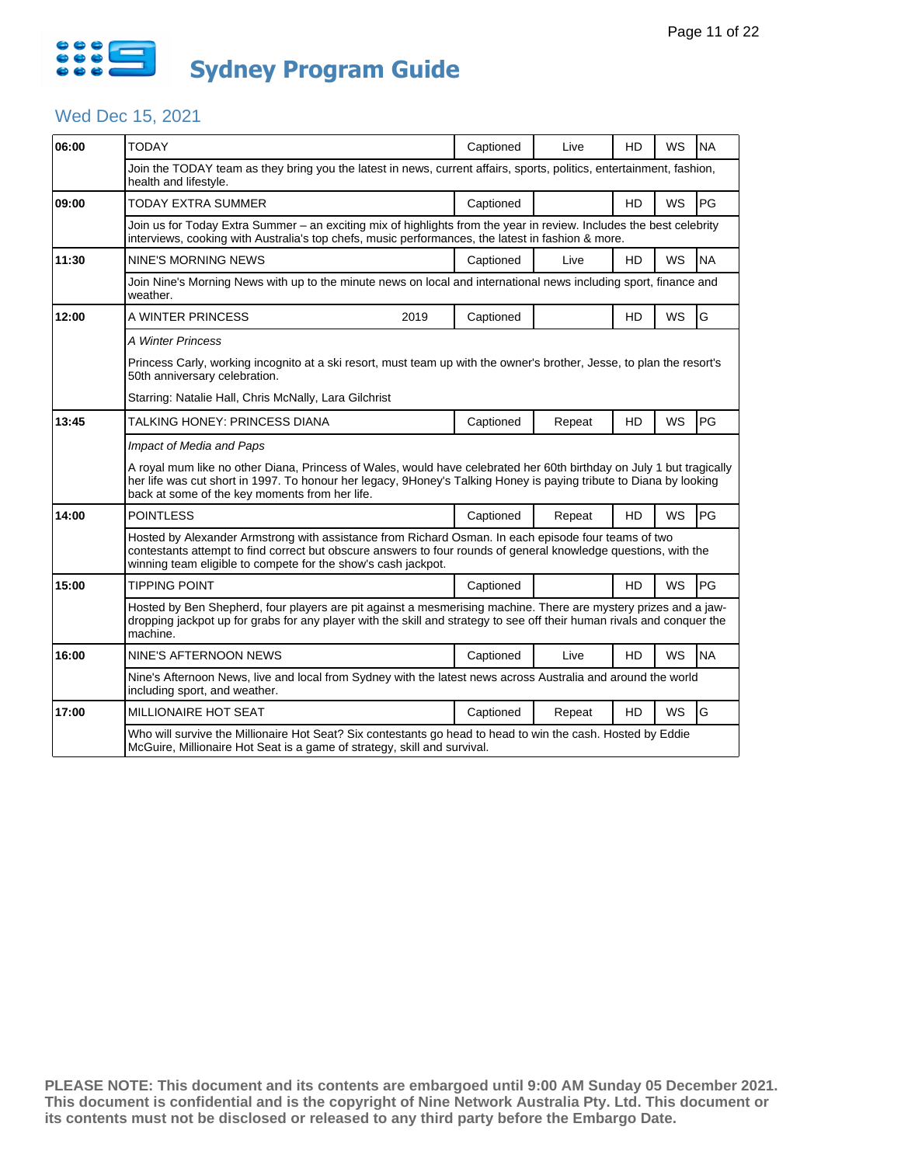

# Wed Dec 15, 2021

| 06:00                                                 | <b>TODAY</b>                                                                                                                                                                                                                                                                                 |                                                                                                                                                                                         | Captioned | Live   | <b>HD</b> | WS        | <b>NA</b> |  |  |
|-------------------------------------------------------|----------------------------------------------------------------------------------------------------------------------------------------------------------------------------------------------------------------------------------------------------------------------------------------------|-----------------------------------------------------------------------------------------------------------------------------------------------------------------------------------------|-----------|--------|-----------|-----------|-----------|--|--|
|                                                       |                                                                                                                                                                                                                                                                                              |                                                                                                                                                                                         |           |        |           |           |           |  |  |
|                                                       | Join the TODAY team as they bring you the latest in news, current affairs, sports, politics, entertainment, fashion,<br>health and lifestyle.                                                                                                                                                |                                                                                                                                                                                         |           |        |           |           |           |  |  |
| 09:00                                                 | <b>TODAY EXTRA SUMMER</b>                                                                                                                                                                                                                                                                    |                                                                                                                                                                                         | Captioned |        | <b>HD</b> | <b>WS</b> | PG        |  |  |
|                                                       | Join us for Today Extra Summer - an exciting mix of highlights from the year in review. Includes the best celebrity<br>interviews, cooking with Australia's top chefs, music performances, the latest in fashion & more.                                                                     |                                                                                                                                                                                         |           |        |           |           |           |  |  |
| 11:30                                                 | NINE'S MORNING NEWS                                                                                                                                                                                                                                                                          |                                                                                                                                                                                         | Captioned | Live   | HD        | WS        | <b>NA</b> |  |  |
|                                                       | Join Nine's Morning News with up to the minute news on local and international news including sport, finance and<br>weather.                                                                                                                                                                 |                                                                                                                                                                                         |           |        |           |           |           |  |  |
| 12:00                                                 | A WINTER PRINCESS                                                                                                                                                                                                                                                                            | 2019                                                                                                                                                                                    | Captioned |        | HD        | WS        | G         |  |  |
|                                                       | A Winter Princess                                                                                                                                                                                                                                                                            |                                                                                                                                                                                         |           |        |           |           |           |  |  |
|                                                       | Princess Carly, working incognito at a ski resort, must team up with the owner's brother, Jesse, to plan the resort's<br>50th anniversary celebration.                                                                                                                                       |                                                                                                                                                                                         |           |        |           |           |           |  |  |
| Starring: Natalie Hall, Chris McNally, Lara Gilchrist |                                                                                                                                                                                                                                                                                              |                                                                                                                                                                                         |           |        |           |           |           |  |  |
| 13:45                                                 | TALKING HONEY: PRINCESS DIANA                                                                                                                                                                                                                                                                |                                                                                                                                                                                         | Captioned | Repeat | HD        | <b>WS</b> | PG        |  |  |
|                                                       | Impact of Media and Paps                                                                                                                                                                                                                                                                     |                                                                                                                                                                                         |           |        |           |           |           |  |  |
|                                                       | A royal mum like no other Diana, Princess of Wales, would have celebrated her 60th birthday on July 1 but tragically<br>her life was cut short in 1997. To honour her legacy, 9Honey's Talking Honey is paying tribute to Diana by looking<br>back at some of the key moments from her life. |                                                                                                                                                                                         |           |        |           |           |           |  |  |
| 14:00                                                 | <b>POINTLESS</b>                                                                                                                                                                                                                                                                             |                                                                                                                                                                                         | Captioned | Repeat | HD        | WS        | PG        |  |  |
|                                                       | Hosted by Alexander Armstrong with assistance from Richard Osman. In each episode four teams of two<br>contestants attempt to find correct but obscure answers to four rounds of general knowledge questions, with the<br>winning team eligible to compete for the show's cash jackpot.      |                                                                                                                                                                                         |           |        |           |           |           |  |  |
| 15:00                                                 | <b>TIPPING POINT</b>                                                                                                                                                                                                                                                                         |                                                                                                                                                                                         | Captioned |        | <b>HD</b> | <b>WS</b> | PG        |  |  |
|                                                       | Hosted by Ben Shepherd, four players are pit against a mesmerising machine. There are mystery prizes and a jaw-<br>dropping jackpot up for grabs for any player with the skill and strategy to see off their human rivals and conquer the<br>machine.                                        |                                                                                                                                                                                         |           |        |           |           |           |  |  |
| 16:00                                                 | NINE'S AFTERNOON NEWS                                                                                                                                                                                                                                                                        |                                                                                                                                                                                         | Captioned | Live   | <b>HD</b> | <b>WS</b> | <b>NA</b> |  |  |
|                                                       | Nine's Afternoon News, live and local from Sydney with the latest news across Australia and around the world<br>including sport, and weather.                                                                                                                                                |                                                                                                                                                                                         |           |        |           |           |           |  |  |
| 17:00                                                 | <b>MILLIONAIRE HOT SEAT</b>                                                                                                                                                                                                                                                                  |                                                                                                                                                                                         | Captioned | Repeat | <b>HD</b> | WS        | G         |  |  |
|                                                       |                                                                                                                                                                                                                                                                                              | Who will survive the Millionaire Hot Seat? Six contestants go head to head to win the cash. Hosted by Eddie<br>McGuire, Millionaire Hot Seat is a game of strategy, skill and survival. |           |        |           |           |           |  |  |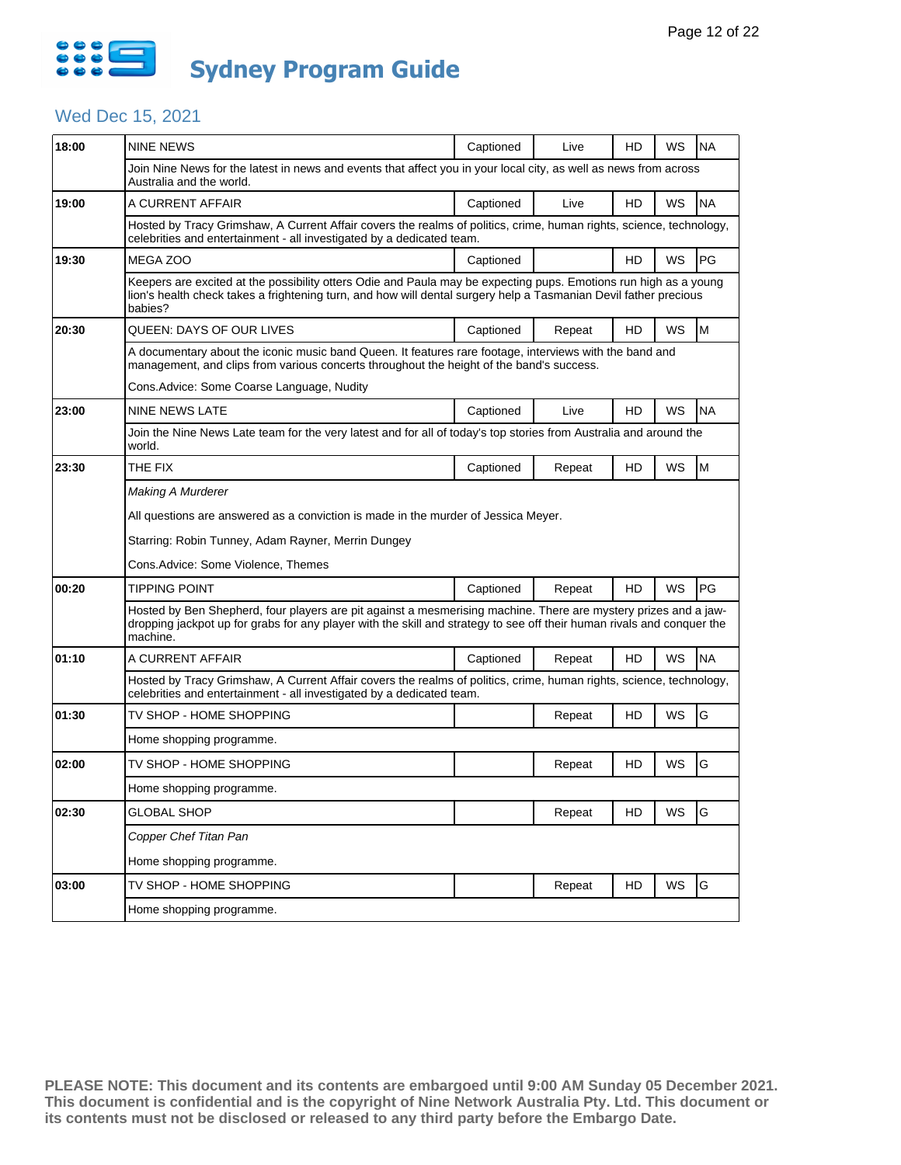

# Wed Dec 15, 2021

| 18:00 | <b>NINE NEWS</b>                                                                                                                                                                                                                                      | Captioned | Live   | HD | WS        | <b>NA</b> |  |  |
|-------|-------------------------------------------------------------------------------------------------------------------------------------------------------------------------------------------------------------------------------------------------------|-----------|--------|----|-----------|-----------|--|--|
|       | Join Nine News for the latest in news and events that affect you in your local city, as well as news from across                                                                                                                                      |           |        |    |           |           |  |  |
|       | Australia and the world.                                                                                                                                                                                                                              |           |        |    |           |           |  |  |
| 19:00 | A CURRENT AFFAIR                                                                                                                                                                                                                                      | Captioned | Live   | HD | WS        | <b>NA</b> |  |  |
|       | Hosted by Tracy Grimshaw, A Current Affair covers the realms of politics, crime, human rights, science, technology,<br>celebrities and entertainment - all investigated by a dedicated team.                                                          |           |        |    |           |           |  |  |
| 19:30 | MEGA ZOO                                                                                                                                                                                                                                              | Captioned |        | HD | WS        | PG        |  |  |
|       | Keepers are excited at the possibility otters Odie and Paula may be expecting pups. Emotions run high as a young<br>lion's health check takes a frightening turn, and how will dental surgery help a Tasmanian Devil father precious<br>babies?       |           |        |    |           |           |  |  |
| 20:30 | QUEEN: DAYS OF OUR LIVES                                                                                                                                                                                                                              | Captioned | Repeat | HD | WS        | M         |  |  |
|       | A documentary about the iconic music band Queen. It features rare footage, interviews with the band and<br>management, and clips from various concerts throughout the height of the band's success.                                                   |           |        |    |           |           |  |  |
|       | Cons. Advice: Some Coarse Language, Nudity                                                                                                                                                                                                            |           |        |    |           |           |  |  |
| 23:00 | NINE NEWS LATE                                                                                                                                                                                                                                        | Captioned | Live   | HD | WS        | <b>NA</b> |  |  |
|       | Join the Nine News Late team for the very latest and for all of today's top stories from Australia and around the<br>world.                                                                                                                           |           |        |    |           |           |  |  |
| 23:30 | THE FIX                                                                                                                                                                                                                                               | Captioned | Repeat | HD | WS        | M         |  |  |
|       | Making A Murderer                                                                                                                                                                                                                                     |           |        |    |           |           |  |  |
|       | All questions are answered as a conviction is made in the murder of Jessica Meyer.                                                                                                                                                                    |           |        |    |           |           |  |  |
|       | Starring: Robin Tunney, Adam Rayner, Merrin Dungey                                                                                                                                                                                                    |           |        |    |           |           |  |  |
|       | Cons.Advice: Some Violence, Themes                                                                                                                                                                                                                    |           |        |    |           |           |  |  |
| 00:20 | TIPPING POINT                                                                                                                                                                                                                                         | Captioned | Repeat | HD | <b>WS</b> | PG        |  |  |
|       | Hosted by Ben Shepherd, four players are pit against a mesmerising machine. There are mystery prizes and a jaw-<br>dropping jackpot up for grabs for any player with the skill and strategy to see off their human rivals and conquer the<br>machine. |           |        |    |           |           |  |  |
| 01:10 | A CURRENT AFFAIR                                                                                                                                                                                                                                      | Captioned | Repeat | HD | WS        | <b>NA</b> |  |  |
|       | Hosted by Tracy Grimshaw, A Current Affair covers the realms of politics, crime, human rights, science, technology,<br>celebrities and entertainment - all investigated by a dedicated team.                                                          |           |        |    |           |           |  |  |
| 01:30 | TV SHOP - HOME SHOPPING                                                                                                                                                                                                                               |           | Repeat | HD | WS        | G         |  |  |
|       | Home shopping programme.                                                                                                                                                                                                                              |           |        |    |           |           |  |  |
| 02:00 | TV SHOP - HOME SHOPPING                                                                                                                                                                                                                               |           | Repeat | HD | WS        | G         |  |  |
|       | Home shopping programme.                                                                                                                                                                                                                              |           |        |    |           |           |  |  |
| 02:30 | <b>GLOBAL SHOP</b>                                                                                                                                                                                                                                    |           | Repeat | HD | WS        | G         |  |  |
|       | Copper Chef Titan Pan                                                                                                                                                                                                                                 |           |        |    |           |           |  |  |
|       | Home shopping programme.                                                                                                                                                                                                                              |           |        |    |           |           |  |  |
| 03:00 | TV SHOP - HOME SHOPPING                                                                                                                                                                                                                               |           | Repeat | HD | WS        | G         |  |  |
|       | Home shopping programme.                                                                                                                                                                                                                              |           |        |    |           |           |  |  |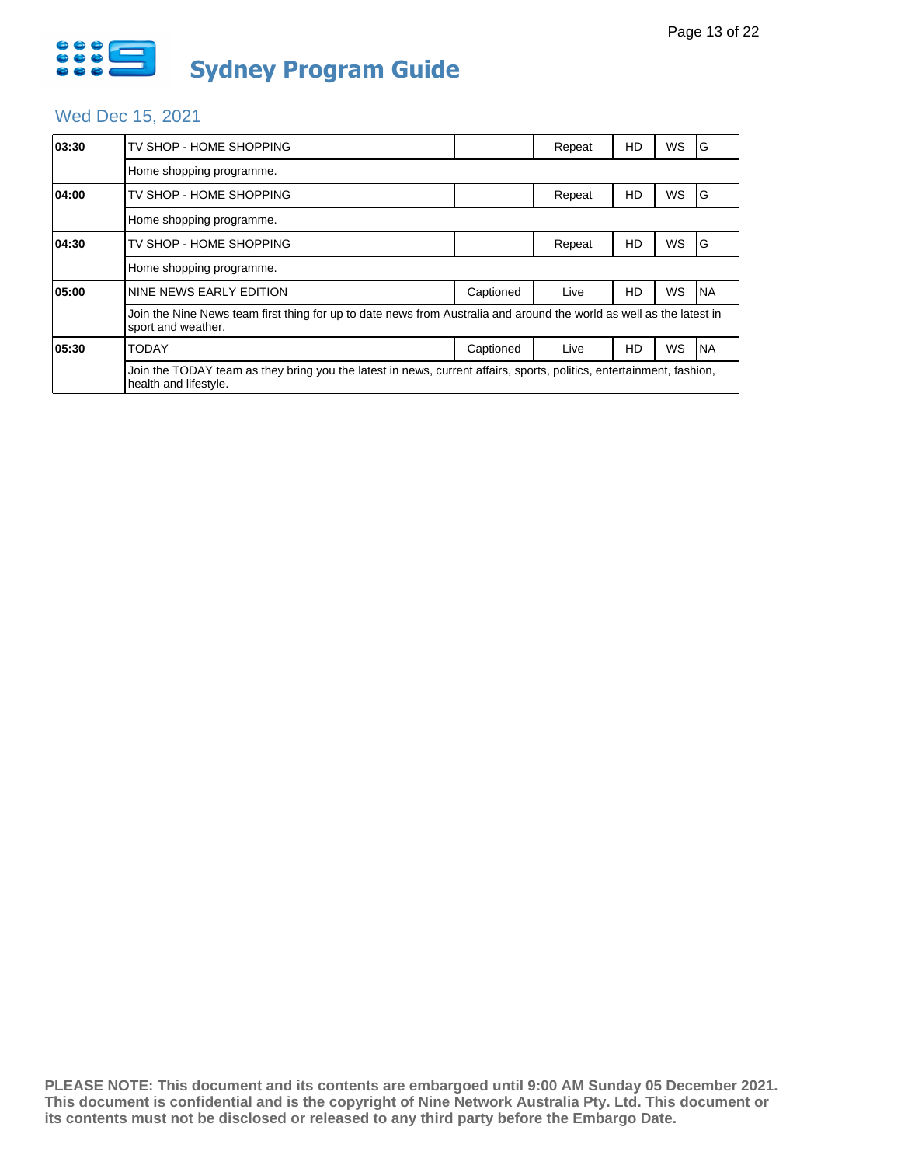

# Wed Dec 15, 2021

| 03:30 | TV SHOP - HOME SHOPPING                                                                                                                       |           | Repeat | HD | WS | G         |  |  |
|-------|-----------------------------------------------------------------------------------------------------------------------------------------------|-----------|--------|----|----|-----------|--|--|
|       | Home shopping programme.                                                                                                                      |           |        |    |    |           |  |  |
| 04:00 | TV SHOP - HOME SHOPPING                                                                                                                       |           | Repeat | HD | WS | G         |  |  |
|       | Home shopping programme.                                                                                                                      |           |        |    |    |           |  |  |
| 04:30 | TV SHOP - HOME SHOPPING                                                                                                                       |           | Repeat | HD | WS | G         |  |  |
|       | Home shopping programme.                                                                                                                      |           |        |    |    |           |  |  |
| 05:00 | NINE NEWS EARLY EDITION                                                                                                                       | Captioned | Live   | HD | WS | <b>NA</b> |  |  |
|       | Join the Nine News team first thing for up to date news from Australia and around the world as well as the latest in<br>sport and weather.    |           |        |    |    |           |  |  |
| 05:30 | <b>TODAY</b>                                                                                                                                  | Captioned | Live   | HD | WS | <b>NA</b> |  |  |
|       | Join the TODAY team as they bring you the latest in news, current affairs, sports, politics, entertainment, fashion,<br>health and lifestyle. |           |        |    |    |           |  |  |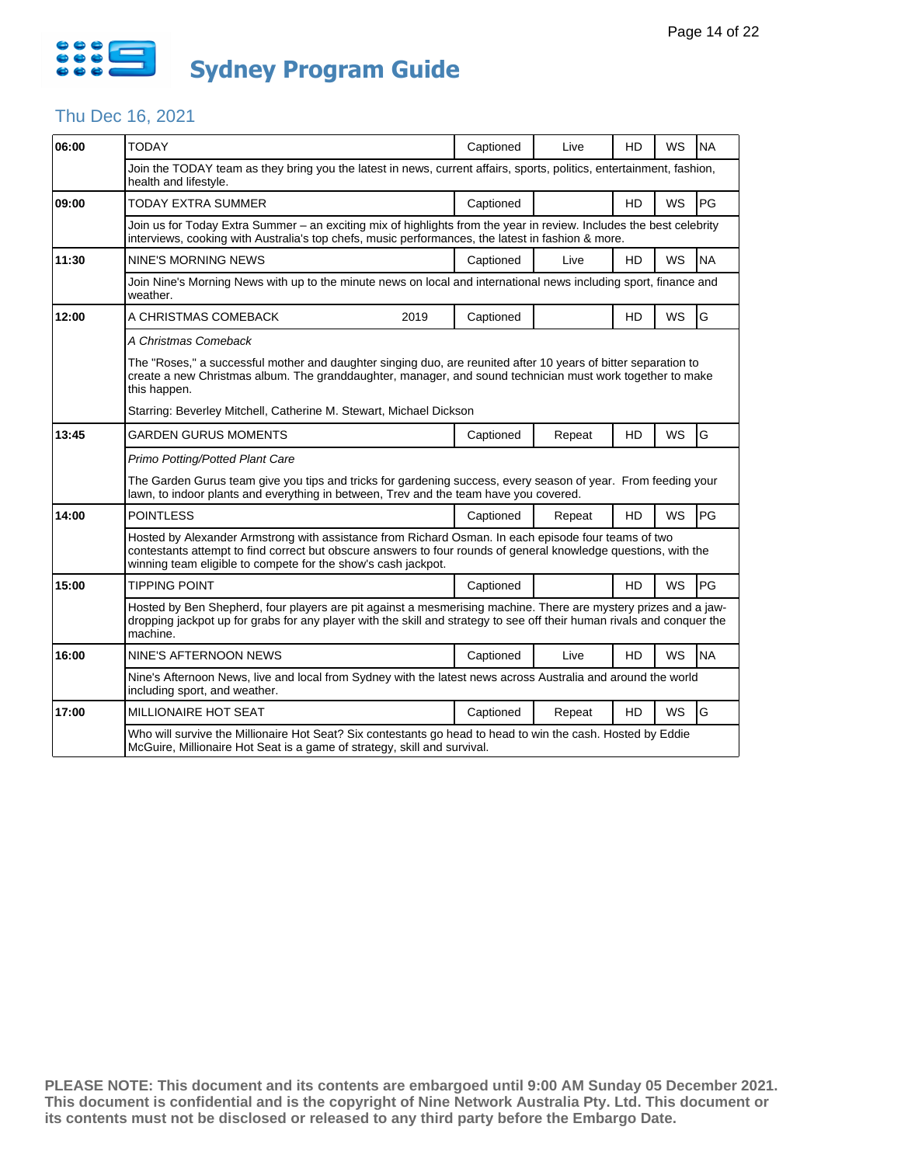

#### Thu Dec 16, 2021

| 06:00 | <b>TODAY</b>                                                                                                                                                                                                                                                                            | Captioned | Live   | <b>HD</b> | WS        | <b>NA</b> |  |  |  |
|-------|-----------------------------------------------------------------------------------------------------------------------------------------------------------------------------------------------------------------------------------------------------------------------------------------|-----------|--------|-----------|-----------|-----------|--|--|--|
|       | Join the TODAY team as they bring you the latest in news, current affairs, sports, politics, entertainment, fashion,<br>health and lifestyle.                                                                                                                                           |           |        |           |           |           |  |  |  |
| 09:00 | <b>TODAY EXTRA SUMMER</b>                                                                                                                                                                                                                                                               | Captioned |        | <b>HD</b> | WS        | PG        |  |  |  |
|       | Join us for Today Extra Summer - an exciting mix of highlights from the year in review. Includes the best celebrity<br>interviews, cooking with Australia's top chefs, music performances, the latest in fashion & more.                                                                |           |        |           |           |           |  |  |  |
| 11:30 | <b>NINE'S MORNING NEWS</b>                                                                                                                                                                                                                                                              | Captioned | Live   | <b>HD</b> | WS        | <b>NA</b> |  |  |  |
|       | Join Nine's Morning News with up to the minute news on local and international news including sport, finance and<br>weather.                                                                                                                                                            |           |        |           |           |           |  |  |  |
| 12:00 | A CHRISTMAS COMEBACK<br>2019                                                                                                                                                                                                                                                            | Captioned |        | HD        | WS        | G         |  |  |  |
|       | A Christmas Comeback                                                                                                                                                                                                                                                                    |           |        |           |           |           |  |  |  |
|       | The "Roses," a successful mother and daughter singing duo, are reunited after 10 years of bitter separation to<br>create a new Christmas album. The granddaughter, manager, and sound technician must work together to make<br>this happen.                                             |           |        |           |           |           |  |  |  |
|       | Starring: Beverley Mitchell, Catherine M. Stewart, Michael Dickson                                                                                                                                                                                                                      |           |        |           |           |           |  |  |  |
| 13:45 | GARDEN GURUS MOMENTS                                                                                                                                                                                                                                                                    | Captioned | Repeat | <b>HD</b> | WS        | G         |  |  |  |
|       | Primo Potting/Potted Plant Care                                                                                                                                                                                                                                                         |           |        |           |           |           |  |  |  |
|       | The Garden Gurus team give you tips and tricks for gardening success, every season of year. From feeding your<br>lawn, to indoor plants and everything in between, Trev and the team have you covered.                                                                                  |           |        |           |           |           |  |  |  |
| 14:00 | <b>POINTLESS</b>                                                                                                                                                                                                                                                                        | Captioned | Repeat | HD        | WS        | PG        |  |  |  |
|       | Hosted by Alexander Armstrong with assistance from Richard Osman. In each episode four teams of two<br>contestants attempt to find correct but obscure answers to four rounds of general knowledge questions, with the<br>winning team eligible to compete for the show's cash jackpot. |           |        |           |           |           |  |  |  |
| 15:00 | <b>TIPPING POINT</b>                                                                                                                                                                                                                                                                    | Captioned |        | HD.       | <b>WS</b> | PG        |  |  |  |
|       | Hosted by Ben Shepherd, four players are pit against a mesmerising machine. There are mystery prizes and a jaw-<br>dropping jackpot up for grabs for any player with the skill and strategy to see off their human rivals and conquer the<br>machine.                                   |           |        |           |           |           |  |  |  |
| 16:00 | NINE'S AFTERNOON NEWS                                                                                                                                                                                                                                                                   | Captioned | Live   | HD        | WS        | <b>NA</b> |  |  |  |
|       | Nine's Afternoon News, live and local from Sydney with the latest news across Australia and around the world<br>including sport, and weather.                                                                                                                                           |           |        |           |           |           |  |  |  |
| 17:00 | <b>MILLIONAIRE HOT SEAT</b>                                                                                                                                                                                                                                                             | Captioned | Repeat | <b>HD</b> | WS        | G         |  |  |  |
|       | Who will survive the Millionaire Hot Seat? Six contestants go head to head to win the cash. Hosted by Eddie<br>McGuire, Millionaire Hot Seat is a game of strategy, skill and survival.                                                                                                 |           |        |           |           |           |  |  |  |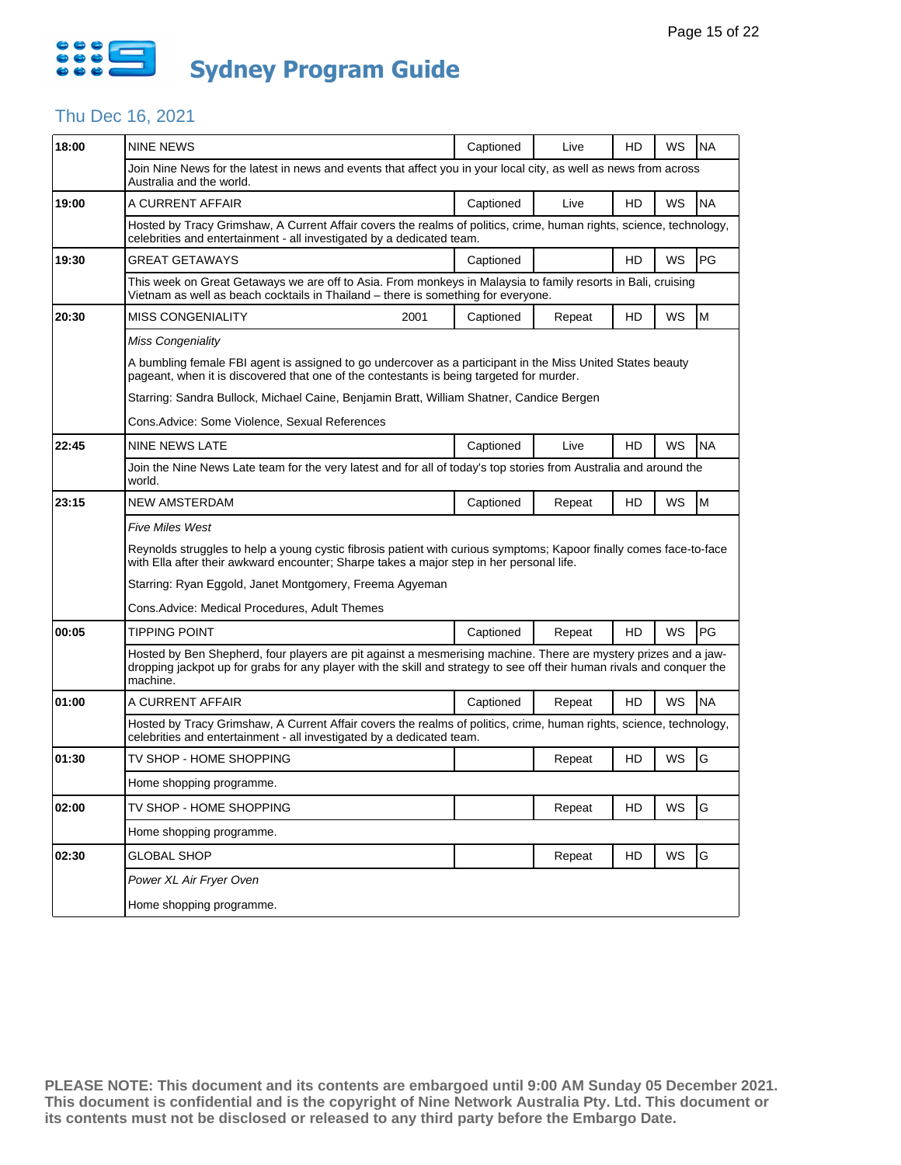

#### Thu Dec 16, 2021

| 18:00 | <b>NINE NEWS</b>                                                                                                                                                                                                                                      | Captioned | Live   | HD | WS | <b>NA</b> |  |  |  |
|-------|-------------------------------------------------------------------------------------------------------------------------------------------------------------------------------------------------------------------------------------------------------|-----------|--------|----|----|-----------|--|--|--|
|       | Join Nine News for the latest in news and events that affect you in your local city, as well as news from across<br>Australia and the world.                                                                                                          |           |        |    |    |           |  |  |  |
| 19:00 | A CURRENT AFFAIR                                                                                                                                                                                                                                      | Captioned | Live   | HD | WS | <b>NA</b> |  |  |  |
|       | Hosted by Tracy Grimshaw, A Current Affair covers the realms of politics, crime, human rights, science, technology,<br>celebrities and entertainment - all investigated by a dedicated team.                                                          |           |        |    |    |           |  |  |  |
| 19:30 | GREAT GETAWAYS                                                                                                                                                                                                                                        | Captioned |        | HD | WS | PG        |  |  |  |
|       | This week on Great Getaways we are off to Asia. From monkeys in Malaysia to family resorts in Bali, cruising<br>Vietnam as well as beach cocktails in Thailand – there is something for everyone.                                                     |           |        |    |    |           |  |  |  |
| 20:30 | <b>MISS CONGENIALITY</b><br>2001                                                                                                                                                                                                                      | Captioned | Repeat | HD | WS | M         |  |  |  |
|       | <b>Miss Congeniality</b>                                                                                                                                                                                                                              |           |        |    |    |           |  |  |  |
|       | A bumbling female FBI agent is assigned to go undercover as a participant in the Miss United States beauty<br>pageant, when it is discovered that one of the contestants is being targeted for murder.                                                |           |        |    |    |           |  |  |  |
|       | Starring: Sandra Bullock, Michael Caine, Benjamin Bratt, William Shatner, Candice Bergen                                                                                                                                                              |           |        |    |    |           |  |  |  |
|       | Cons.Advice: Some Violence, Sexual References                                                                                                                                                                                                         |           |        |    |    |           |  |  |  |
| 22:45 | <b>NINE NEWS LATE</b>                                                                                                                                                                                                                                 | Captioned | Live   | HD | WS | <b>NA</b> |  |  |  |
|       | Join the Nine News Late team for the very latest and for all of today's top stories from Australia and around the<br>world.                                                                                                                           |           |        |    |    |           |  |  |  |
| 23:15 | <b>NEW AMSTERDAM</b>                                                                                                                                                                                                                                  | Captioned | Repeat | HD | WS | M         |  |  |  |
|       | <b>Five Miles West</b>                                                                                                                                                                                                                                |           |        |    |    |           |  |  |  |
|       | Reynolds struggles to help a young cystic fibrosis patient with curious symptoms; Kapoor finally comes face-to-face<br>with Ella after their awkward encounter; Sharpe takes a major step in her personal life.                                       |           |        |    |    |           |  |  |  |
|       | Starring: Ryan Eggold, Janet Montgomery, Freema Agyeman                                                                                                                                                                                               |           |        |    |    |           |  |  |  |
|       | Cons.Advice: Medical Procedures, Adult Themes                                                                                                                                                                                                         |           |        |    |    |           |  |  |  |
| 00:05 | <b>TIPPING POINT</b>                                                                                                                                                                                                                                  | Captioned | Repeat | HD | WS | PG        |  |  |  |
|       | Hosted by Ben Shepherd, four players are pit against a mesmerising machine. There are mystery prizes and a jaw-<br>dropping jackpot up for grabs for any player with the skill and strategy to see off their human rivals and conquer the<br>machine. |           |        |    |    |           |  |  |  |
| 01:00 | A CURRENT AFFAIR                                                                                                                                                                                                                                      | Captioned | Repeat | HD | WS | <b>NA</b> |  |  |  |
|       | Hosted by Tracy Grimshaw, A Current Affair covers the realms of politics, crime, human rights, science, technology,<br>celebrities and entertainment - all investigated by a dedicated team.                                                          |           |        |    |    |           |  |  |  |
| 01:30 | TV SHOP - HOME SHOPPING                                                                                                                                                                                                                               |           | Repeat | HD | WS | G         |  |  |  |
|       | Home shopping programme.                                                                                                                                                                                                                              |           |        |    |    |           |  |  |  |
| 02:00 |                                                                                                                                                                                                                                                       |           |        |    |    |           |  |  |  |
|       | TV SHOP - HOME SHOPPING                                                                                                                                                                                                                               |           | Repeat | HD | WS | G         |  |  |  |
|       | Home shopping programme.                                                                                                                                                                                                                              |           |        |    |    |           |  |  |  |
| 02:30 | <b>GLOBAL SHOP</b>                                                                                                                                                                                                                                    |           | Repeat | HD | WS | G         |  |  |  |
|       | Power XL Air Fryer Oven                                                                                                                                                                                                                               |           |        |    |    |           |  |  |  |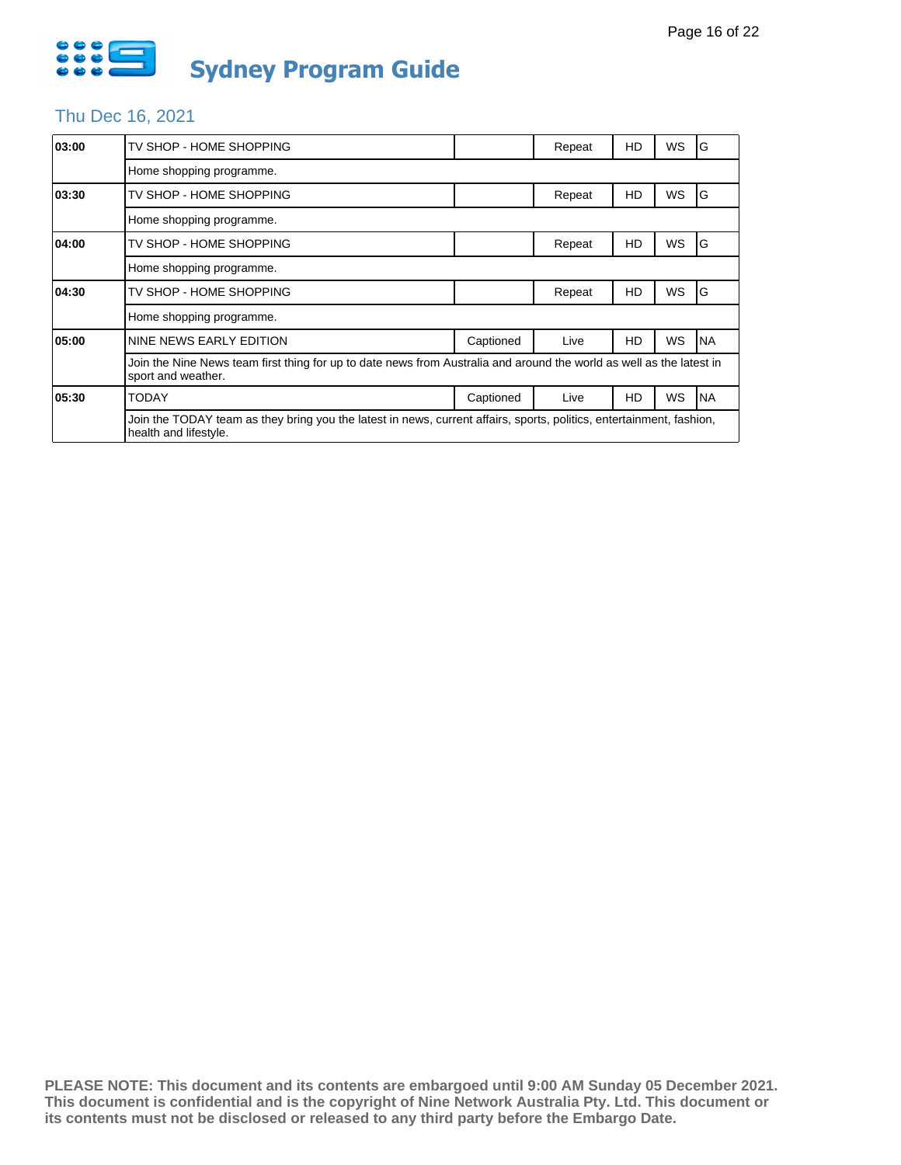

### Thu Dec 16, 2021

| 03:00 | TV SHOP - HOME SHOPPING                                                                                                                       |           | Repeat | HD | WS        | G         |  |  |
|-------|-----------------------------------------------------------------------------------------------------------------------------------------------|-----------|--------|----|-----------|-----------|--|--|
|       | Home shopping programme.                                                                                                                      |           |        |    |           |           |  |  |
| 03:30 | TV SHOP - HOME SHOPPING                                                                                                                       |           | Repeat | HD | WS        | G         |  |  |
|       | Home shopping programme.                                                                                                                      |           |        |    |           |           |  |  |
| 04:00 | TV SHOP - HOME SHOPPING                                                                                                                       |           | Repeat | HD | <b>WS</b> | G         |  |  |
|       | Home shopping programme.                                                                                                                      |           |        |    |           |           |  |  |
| 04:30 | TV SHOP - HOME SHOPPING                                                                                                                       |           | Repeat | HD | WS        | G         |  |  |
|       | Home shopping programme.                                                                                                                      |           |        |    |           |           |  |  |
| 05:00 | NINE NEWS EARLY EDITION                                                                                                                       | Captioned | Live   | HD | WS        | <b>NA</b> |  |  |
|       | Join the Nine News team first thing for up to date news from Australia and around the world as well as the latest in<br>sport and weather.    |           |        |    |           |           |  |  |
| 05:30 | <b>TODAY</b>                                                                                                                                  | Captioned | Live   | HD | WS        | <b>NA</b> |  |  |
|       | Join the TODAY team as they bring you the latest in news, current affairs, sports, politics, entertainment, fashion,<br>health and lifestyle. |           |        |    |           |           |  |  |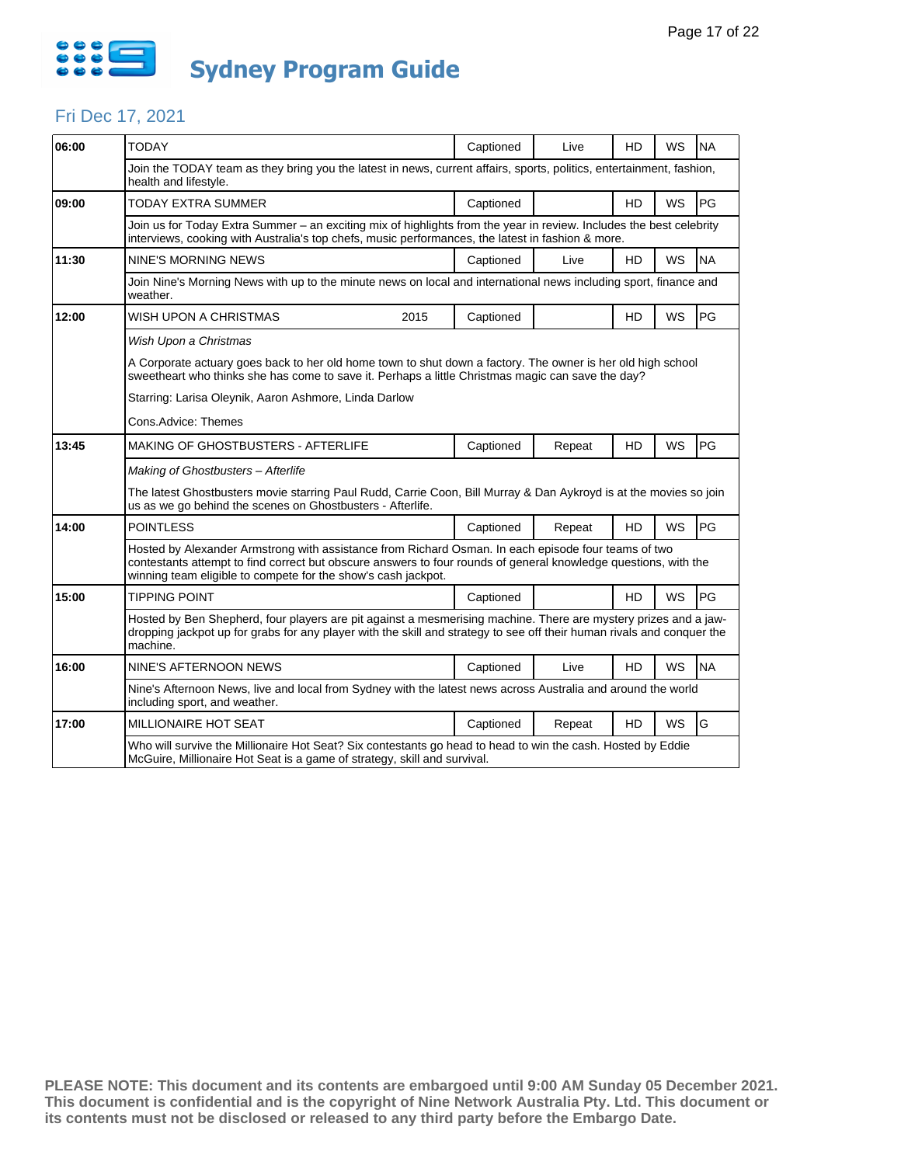

### Fri Dec 17, 2021

| 06:00 | <b>TODAY</b>                                                                                                                                                                                                                                                                            | Captioned | Live   | HD        | WS        | <b>NA</b> |  |  |  |
|-------|-----------------------------------------------------------------------------------------------------------------------------------------------------------------------------------------------------------------------------------------------------------------------------------------|-----------|--------|-----------|-----------|-----------|--|--|--|
|       | Join the TODAY team as they bring you the latest in news, current affairs, sports, politics, entertainment, fashion,<br>health and lifestyle.                                                                                                                                           |           |        |           |           |           |  |  |  |
| 09:00 | TODAY EXTRA SUMMER                                                                                                                                                                                                                                                                      | Captioned |        | <b>HD</b> | WS        | PG        |  |  |  |
|       | Join us for Today Extra Summer – an exciting mix of highlights from the year in review. Includes the best celebrity<br>interviews, cooking with Australia's top chefs, music performances, the latest in fashion & more.                                                                |           |        |           |           |           |  |  |  |
| 11:30 | NINE'S MORNING NEWS                                                                                                                                                                                                                                                                     | Captioned | Live   | HD.       | WS        | <b>NA</b> |  |  |  |
|       | Join Nine's Morning News with up to the minute news on local and international news including sport, finance and<br>weather.                                                                                                                                                            |           |        |           |           |           |  |  |  |
| 12:00 | WISH UPON A CHRISTMAS<br>2015                                                                                                                                                                                                                                                           | Captioned |        | HD        | WS        | PG        |  |  |  |
|       | Wish Upon a Christmas                                                                                                                                                                                                                                                                   |           |        |           |           |           |  |  |  |
|       | A Corporate actuary goes back to her old home town to shut down a factory. The owner is her old high school<br>sweetheart who thinks she has come to save it. Perhaps a little Christmas magic can save the day?                                                                        |           |        |           |           |           |  |  |  |
|       | Starring: Larisa Oleynik, Aaron Ashmore, Linda Darlow                                                                                                                                                                                                                                   |           |        |           |           |           |  |  |  |
|       | Cons.Advice: Themes                                                                                                                                                                                                                                                                     |           |        |           |           |           |  |  |  |
| 13:45 | <b>MAKING OF GHOSTBUSTERS - AFTERLIFE</b>                                                                                                                                                                                                                                               | Captioned | Repeat | <b>HD</b> | <b>WS</b> | PG        |  |  |  |
|       | Making of Ghostbusters - Afterlife                                                                                                                                                                                                                                                      |           |        |           |           |           |  |  |  |
|       | The latest Ghostbusters movie starring Paul Rudd, Carrie Coon, Bill Murray & Dan Aykroyd is at the movies so join<br>us as we go behind the scenes on Ghostbusters - Afterlife.                                                                                                         |           |        |           |           |           |  |  |  |
| 14:00 | <b>POINTLESS</b>                                                                                                                                                                                                                                                                        | Captioned | Repeat | HD        | WS        | PG        |  |  |  |
|       | Hosted by Alexander Armstrong with assistance from Richard Osman. In each episode four teams of two<br>contestants attempt to find correct but obscure answers to four rounds of general knowledge questions, with the<br>winning team eligible to compete for the show's cash jackpot. |           |        |           |           |           |  |  |  |
| 15:00 | <b>TIPPING POINT</b>                                                                                                                                                                                                                                                                    | Captioned |        | HD        | <b>WS</b> | PG        |  |  |  |
|       | Hosted by Ben Shepherd, four players are pit against a mesmerising machine. There are mystery prizes and a jaw-<br>dropping jackpot up for grabs for any player with the skill and strategy to see off their human rivals and conquer the<br>machine.                                   |           |        |           |           |           |  |  |  |
| 16:00 | NINE'S AFTERNOON NEWS                                                                                                                                                                                                                                                                   | Captioned | Live   | HD        | WS        | <b>NA</b> |  |  |  |
|       | Nine's Afternoon News, live and local from Sydney with the latest news across Australia and around the world<br>including sport, and weather.                                                                                                                                           |           |        |           |           |           |  |  |  |
| 17:00 | MILLIONAIRE HOT SEAT                                                                                                                                                                                                                                                                    | Captioned | Repeat | HD        | <b>WS</b> | G         |  |  |  |
|       | Who will survive the Millionaire Hot Seat? Six contestants go head to head to win the cash. Hosted by Eddie<br>McGuire, Millionaire Hot Seat is a game of strategy, skill and survival.                                                                                                 |           |        |           |           |           |  |  |  |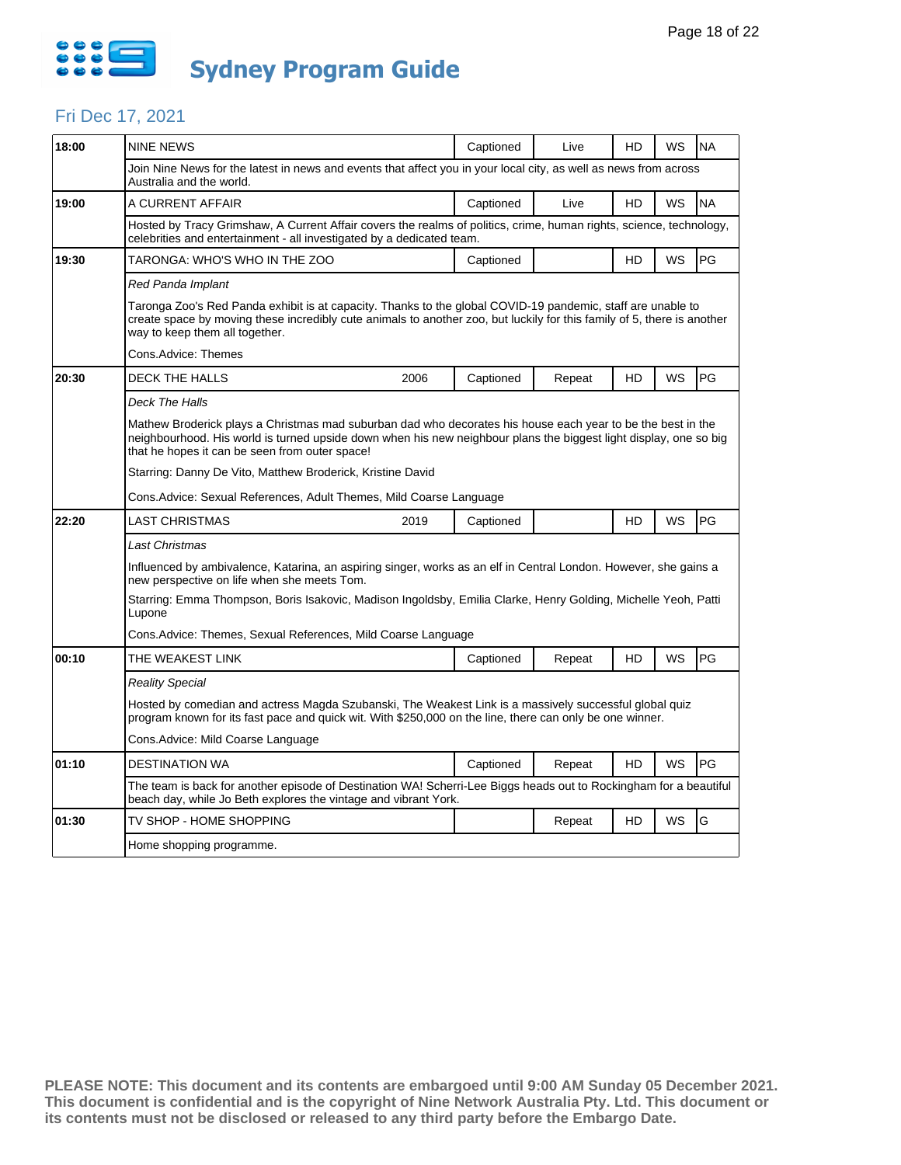

### Fri Dec 17, 2021

| 18:00 | <b>NINE NEWS</b>                                                                                                                                                                                                                                                                   | Captioned | Live   | HD | WS | <b>NA</b> |  |  |  |
|-------|------------------------------------------------------------------------------------------------------------------------------------------------------------------------------------------------------------------------------------------------------------------------------------|-----------|--------|----|----|-----------|--|--|--|
|       | Join Nine News for the latest in news and events that affect you in your local city, as well as news from across<br>Australia and the world.                                                                                                                                       |           |        |    |    |           |  |  |  |
| 19:00 | A CURRENT AFFAIR                                                                                                                                                                                                                                                                   | Captioned | Live   | HD | WS | <b>NA</b> |  |  |  |
|       | Hosted by Tracy Grimshaw, A Current Affair covers the realms of politics, crime, human rights, science, technology,<br>celebrities and entertainment - all investigated by a dedicated team.                                                                                       |           |        |    |    |           |  |  |  |
| 19:30 | TARONGA: WHO'S WHO IN THE ZOO                                                                                                                                                                                                                                                      | Captioned |        | HD | WS | <b>PG</b> |  |  |  |
|       | Red Panda Implant                                                                                                                                                                                                                                                                  |           |        |    |    |           |  |  |  |
|       | Taronga Zoo's Red Panda exhibit is at capacity. Thanks to the global COVID-19 pandemic, staff are unable to<br>create space by moving these incredibly cute animals to another zoo, but luckily for this family of 5, there is another<br>way to keep them all together.           |           |        |    |    |           |  |  |  |
|       | Cons.Advice: Themes                                                                                                                                                                                                                                                                |           |        |    |    |           |  |  |  |
| 20:30 | <b>DECK THE HALLS</b><br>2006                                                                                                                                                                                                                                                      | Captioned | Repeat | HD | WS | PG        |  |  |  |
|       | Deck The Halls                                                                                                                                                                                                                                                                     |           |        |    |    |           |  |  |  |
|       | Mathew Broderick plays a Christmas mad suburban dad who decorates his house each year to be the best in the<br>neighbourhood. His world is turned upside down when his new neighbour plans the biggest light display, one so big<br>that he hopes it can be seen from outer space! |           |        |    |    |           |  |  |  |
|       | Starring: Danny De Vito, Matthew Broderick, Kristine David                                                                                                                                                                                                                         |           |        |    |    |           |  |  |  |
|       | Cons. Advice: Sexual References, Adult Themes, Mild Coarse Language                                                                                                                                                                                                                |           |        |    |    |           |  |  |  |
| 22:20 | LAST CHRISTMAS<br>2019                                                                                                                                                                                                                                                             | Captioned |        | HD | WS | PG        |  |  |  |
|       | Last Christmas                                                                                                                                                                                                                                                                     |           |        |    |    |           |  |  |  |
|       | Influenced by ambivalence, Katarina, an aspiring singer, works as an elf in Central London. However, she gains a<br>new perspective on life when she meets Tom.                                                                                                                    |           |        |    |    |           |  |  |  |
|       | Starring: Emma Thompson, Boris Isakovic, Madison Ingoldsby, Emilia Clarke, Henry Golding, Michelle Yeoh, Patti<br>Lupone                                                                                                                                                           |           |        |    |    |           |  |  |  |
|       | Cons.Advice: Themes, Sexual References, Mild Coarse Language                                                                                                                                                                                                                       |           |        |    |    |           |  |  |  |
| 00:10 | THE WEAKEST LINK                                                                                                                                                                                                                                                                   | Captioned | Repeat | HD | WS | PG        |  |  |  |
|       | Reality Special                                                                                                                                                                                                                                                                    |           |        |    |    |           |  |  |  |
|       | Hosted by comedian and actress Magda Szubanski, The Weakest Link is a massively successful global quiz<br>program known for its fast pace and quick wit. With \$250,000 on the line, there can only be one winner.                                                                 |           |        |    |    |           |  |  |  |
|       | Cons. Advice: Mild Coarse Language                                                                                                                                                                                                                                                 |           |        |    |    |           |  |  |  |
| 01:10 | DESTINATION WA                                                                                                                                                                                                                                                                     | Captioned | Repeat | HD | WS | PG        |  |  |  |
|       | The team is back for another episode of Destination WA! Scherri-Lee Biggs heads out to Rockingham for a beautiful<br>beach day, while Jo Beth explores the vintage and vibrant York.                                                                                               |           |        |    |    |           |  |  |  |
| 01:30 | TV SHOP - HOME SHOPPING                                                                                                                                                                                                                                                            |           | Repeat | HD | WS | G         |  |  |  |
|       | Home shopping programme.                                                                                                                                                                                                                                                           |           |        |    |    |           |  |  |  |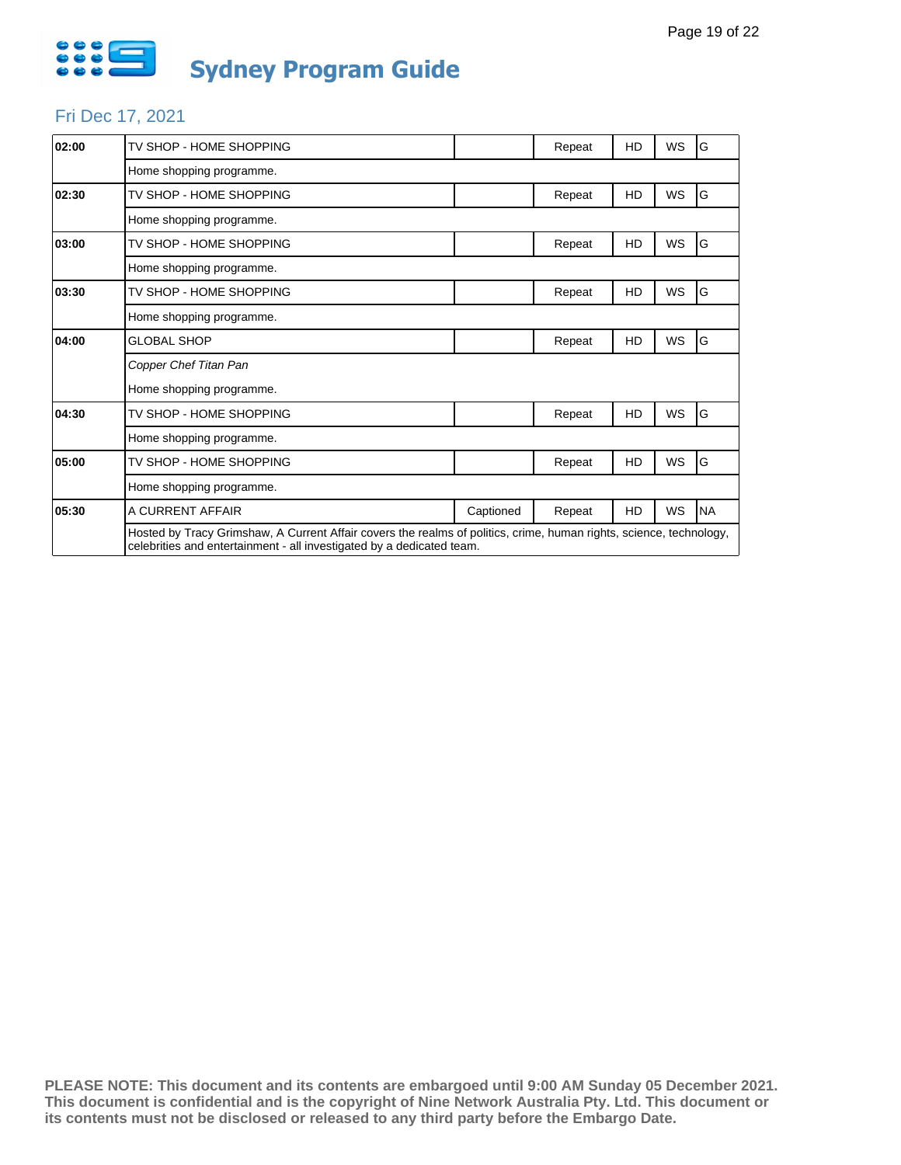

# Fri Dec 17, 2021

| 02:00 | TV SHOP - HOME SHOPPING                                                                                                                                                                      |           | Repeat | HD | <b>WS</b> | ١G        |  |
|-------|----------------------------------------------------------------------------------------------------------------------------------------------------------------------------------------------|-----------|--------|----|-----------|-----------|--|
|       | Home shopping programme.                                                                                                                                                                     |           |        |    |           |           |  |
| 02:30 | TV SHOP - HOME SHOPPING                                                                                                                                                                      |           | Repeat | HD | <b>WS</b> | G         |  |
|       | Home shopping programme.                                                                                                                                                                     |           |        |    |           |           |  |
| 03:00 | TV SHOP - HOME SHOPPING                                                                                                                                                                      |           | Repeat | HD | <b>WS</b> | G         |  |
|       | Home shopping programme.                                                                                                                                                                     |           |        |    |           |           |  |
| 03:30 | TV SHOP - HOME SHOPPING                                                                                                                                                                      |           | Repeat | HD | WS        | G         |  |
|       | Home shopping programme.                                                                                                                                                                     |           |        |    |           |           |  |
| 04:00 | <b>GLOBAL SHOP</b>                                                                                                                                                                           |           | Repeat | HD | <b>WS</b> | G         |  |
|       | Copper Chef Titan Pan                                                                                                                                                                        |           |        |    |           |           |  |
|       | Home shopping programme.                                                                                                                                                                     |           |        |    |           |           |  |
| 04:30 | TV SHOP - HOME SHOPPING                                                                                                                                                                      |           | Repeat | HD | <b>WS</b> | G         |  |
|       | Home shopping programme.                                                                                                                                                                     |           |        |    |           |           |  |
| 05:00 | TV SHOP - HOME SHOPPING                                                                                                                                                                      |           | Repeat | HD | WS        | G         |  |
|       | Home shopping programme.                                                                                                                                                                     |           |        |    |           |           |  |
| 05:30 | A CURRENT AFFAIR                                                                                                                                                                             | Captioned | Repeat | HD | WS        | <b>NA</b> |  |
|       | Hosted by Tracy Grimshaw, A Current Affair covers the realms of politics, crime, human rights, science, technology,<br>celebrities and entertainment - all investigated by a dedicated team. |           |        |    |           |           |  |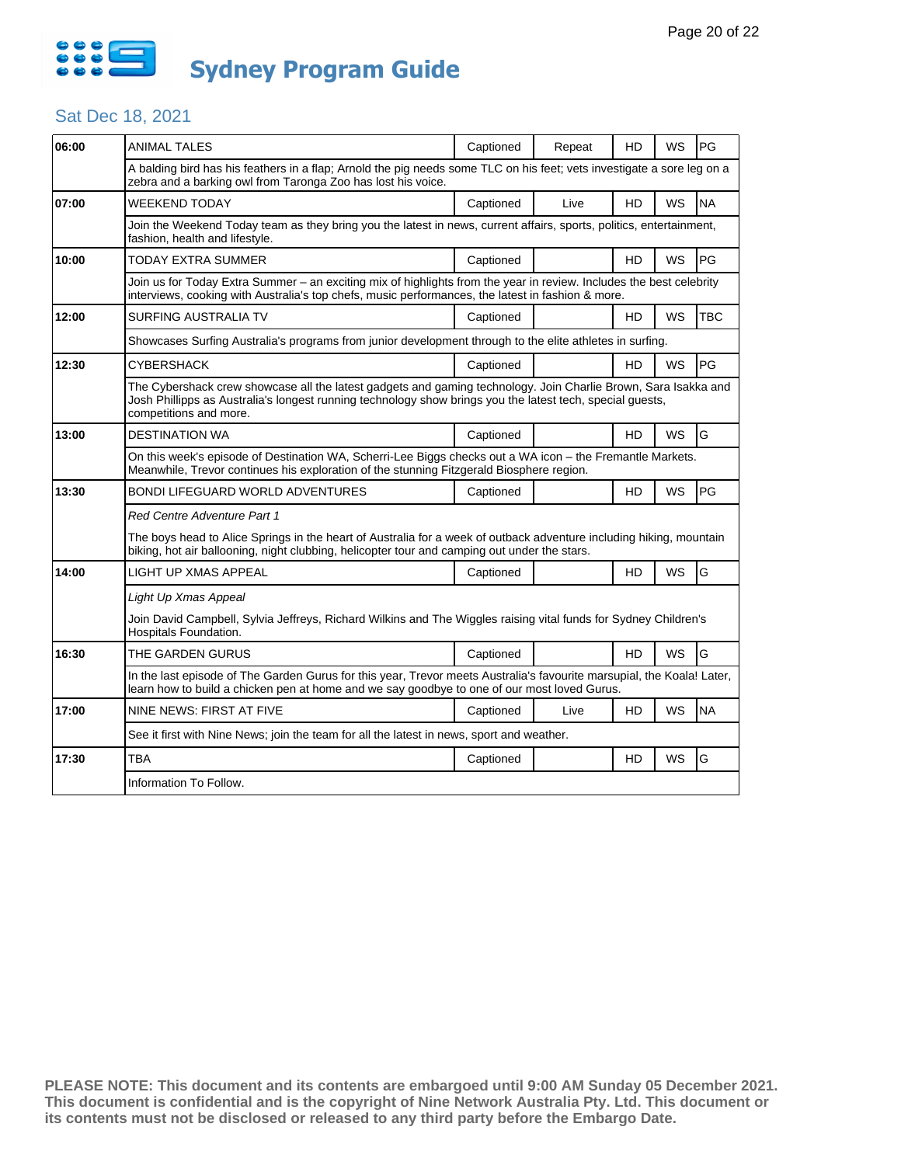

### Sat Dec 18, 2021

| <b>ANIMAL TALES</b>                                                                                                                                                                                                   | Captioned | Repeat | HD                                                                                        | WS                                                                                                | PG                                                                                                                                                                                                                                                                                                                                                                                                                                                                                                                                                                                                                                                                                                                                                                                                                                 |  |  |  |
|-----------------------------------------------------------------------------------------------------------------------------------------------------------------------------------------------------------------------|-----------|--------|-------------------------------------------------------------------------------------------|---------------------------------------------------------------------------------------------------|------------------------------------------------------------------------------------------------------------------------------------------------------------------------------------------------------------------------------------------------------------------------------------------------------------------------------------------------------------------------------------------------------------------------------------------------------------------------------------------------------------------------------------------------------------------------------------------------------------------------------------------------------------------------------------------------------------------------------------------------------------------------------------------------------------------------------------|--|--|--|
| zebra and a barking owl from Taronga Zoo has lost his voice.                                                                                                                                                          |           |        |                                                                                           |                                                                                                   |                                                                                                                                                                                                                                                                                                                                                                                                                                                                                                                                                                                                                                                                                                                                                                                                                                    |  |  |  |
| <b>WEEKEND TODAY</b>                                                                                                                                                                                                  | Captioned | Live   | HD                                                                                        | WS                                                                                                | <b>NA</b>                                                                                                                                                                                                                                                                                                                                                                                                                                                                                                                                                                                                                                                                                                                                                                                                                          |  |  |  |
| fashion, health and lifestyle.                                                                                                                                                                                        |           |        |                                                                                           |                                                                                                   |                                                                                                                                                                                                                                                                                                                                                                                                                                                                                                                                                                                                                                                                                                                                                                                                                                    |  |  |  |
| TODAY EXTRA SUMMER                                                                                                                                                                                                    | Captioned |        | HD                                                                                        | WS                                                                                                | PG                                                                                                                                                                                                                                                                                                                                                                                                                                                                                                                                                                                                                                                                                                                                                                                                                                 |  |  |  |
|                                                                                                                                                                                                                       |           |        |                                                                                           |                                                                                                   |                                                                                                                                                                                                                                                                                                                                                                                                                                                                                                                                                                                                                                                                                                                                                                                                                                    |  |  |  |
| <b>SURFING AUSTRALIA TV</b>                                                                                                                                                                                           | Captioned |        | HD                                                                                        | <b>WS</b>                                                                                         | TBC                                                                                                                                                                                                                                                                                                                                                                                                                                                                                                                                                                                                                                                                                                                                                                                                                                |  |  |  |
|                                                                                                                                                                                                                       |           |        |                                                                                           |                                                                                                   |                                                                                                                                                                                                                                                                                                                                                                                                                                                                                                                                                                                                                                                                                                                                                                                                                                    |  |  |  |
| CYBERSHACK                                                                                                                                                                                                            | Captioned |        | HD                                                                                        | WS                                                                                                | PG                                                                                                                                                                                                                                                                                                                                                                                                                                                                                                                                                                                                                                                                                                                                                                                                                                 |  |  |  |
| competitions and more.                                                                                                                                                                                                |           |        |                                                                                           |                                                                                                   |                                                                                                                                                                                                                                                                                                                                                                                                                                                                                                                                                                                                                                                                                                                                                                                                                                    |  |  |  |
| <b>DESTINATION WA</b>                                                                                                                                                                                                 | Captioned |        | HD                                                                                        | WS                                                                                                | G                                                                                                                                                                                                                                                                                                                                                                                                                                                                                                                                                                                                                                                                                                                                                                                                                                  |  |  |  |
| On this week's episode of Destination WA, Scherri-Lee Biggs checks out a WA icon - the Fremantle Markets.<br>Meanwhile, Trevor continues his exploration of the stunning Fitzgerald Biosphere region.                 |           |        |                                                                                           |                                                                                                   |                                                                                                                                                                                                                                                                                                                                                                                                                                                                                                                                                                                                                                                                                                                                                                                                                                    |  |  |  |
| <b>BONDI LIFEGUARD WORLD ADVENTURES</b>                                                                                                                                                                               | Captioned |        | HD                                                                                        | <b>WS</b>                                                                                         | PG                                                                                                                                                                                                                                                                                                                                                                                                                                                                                                                                                                                                                                                                                                                                                                                                                                 |  |  |  |
| <b>Red Centre Adventure Part 1</b>                                                                                                                                                                                    |           |        |                                                                                           |                                                                                                   |                                                                                                                                                                                                                                                                                                                                                                                                                                                                                                                                                                                                                                                                                                                                                                                                                                    |  |  |  |
| The boys head to Alice Springs in the heart of Australia for a week of outback adventure including hiking, mountain<br>biking, hot air ballooning, night clubbing, helicopter tour and camping out under the stars.   |           |        |                                                                                           |                                                                                                   |                                                                                                                                                                                                                                                                                                                                                                                                                                                                                                                                                                                                                                                                                                                                                                                                                                    |  |  |  |
| <b>LIGHT UP XMAS APPEAL</b>                                                                                                                                                                                           | Captioned |        | HD                                                                                        | WS                                                                                                | G                                                                                                                                                                                                                                                                                                                                                                                                                                                                                                                                                                                                                                                                                                                                                                                                                                  |  |  |  |
| Light Up Xmas Appeal                                                                                                                                                                                                  |           |        |                                                                                           |                                                                                                   |                                                                                                                                                                                                                                                                                                                                                                                                                                                                                                                                                                                                                                                                                                                                                                                                                                    |  |  |  |
| Hospitals Foundation.                                                                                                                                                                                                 |           |        |                                                                                           |                                                                                                   |                                                                                                                                                                                                                                                                                                                                                                                                                                                                                                                                                                                                                                                                                                                                                                                                                                    |  |  |  |
| THE GARDEN GURUS                                                                                                                                                                                                      | Captioned |        | HD                                                                                        | <b>WS</b>                                                                                         | G                                                                                                                                                                                                                                                                                                                                                                                                                                                                                                                                                                                                                                                                                                                                                                                                                                  |  |  |  |
| In the last episode of The Garden Gurus for this year, Trevor meets Australia's favourite marsupial, the Koala! Later,<br>learn how to build a chicken pen at home and we say goodbye to one of our most loved Gurus. |           |        |                                                                                           |                                                                                                   |                                                                                                                                                                                                                                                                                                                                                                                                                                                                                                                                                                                                                                                                                                                                                                                                                                    |  |  |  |
| NINE NEWS: FIRST AT FIVE                                                                                                                                                                                              | Captioned | Live   | HD                                                                                        | WS                                                                                                | <b>NA</b>                                                                                                                                                                                                                                                                                                                                                                                                                                                                                                                                                                                                                                                                                                                                                                                                                          |  |  |  |
|                                                                                                                                                                                                                       |           |        |                                                                                           |                                                                                                   |                                                                                                                                                                                                                                                                                                                                                                                                                                                                                                                                                                                                                                                                                                                                                                                                                                    |  |  |  |
| <b>TBA</b>                                                                                                                                                                                                            | Captioned |        | HD                                                                                        | WS                                                                                                | G                                                                                                                                                                                                                                                                                                                                                                                                                                                                                                                                                                                                                                                                                                                                                                                                                                  |  |  |  |
| Information To Follow.                                                                                                                                                                                                |           |        |                                                                                           |                                                                                                   |                                                                                                                                                                                                                                                                                                                                                                                                                                                                                                                                                                                                                                                                                                                                                                                                                                    |  |  |  |
|                                                                                                                                                                                                                       |           |        | See it first with Nine News; join the team for all the latest in news, sport and weather. | interviews, cooking with Australia's top chefs, music performances, the latest in fashion & more. | A balding bird has his feathers in a flap; Arnold the pig needs some TLC on his feet; vets investigate a sore leg on a<br>Join the Weekend Today team as they bring you the latest in news, current affairs, sports, politics, entertainment,<br>Join us for Today Extra Summer - an exciting mix of highlights from the year in review. Includes the best celebrity<br>Showcases Surfing Australia's programs from junior development through to the elite athletes in surfing.<br>The Cybershack crew showcase all the latest gadgets and gaming technology. Join Charlie Brown, Sara Isakka and<br>Josh Phillipps as Australia's longest running technology show brings you the latest tech, special guests,<br>Join David Campbell, Sylvia Jeffreys, Richard Wilkins and The Wiggles raising vital funds for Sydney Children's |  |  |  |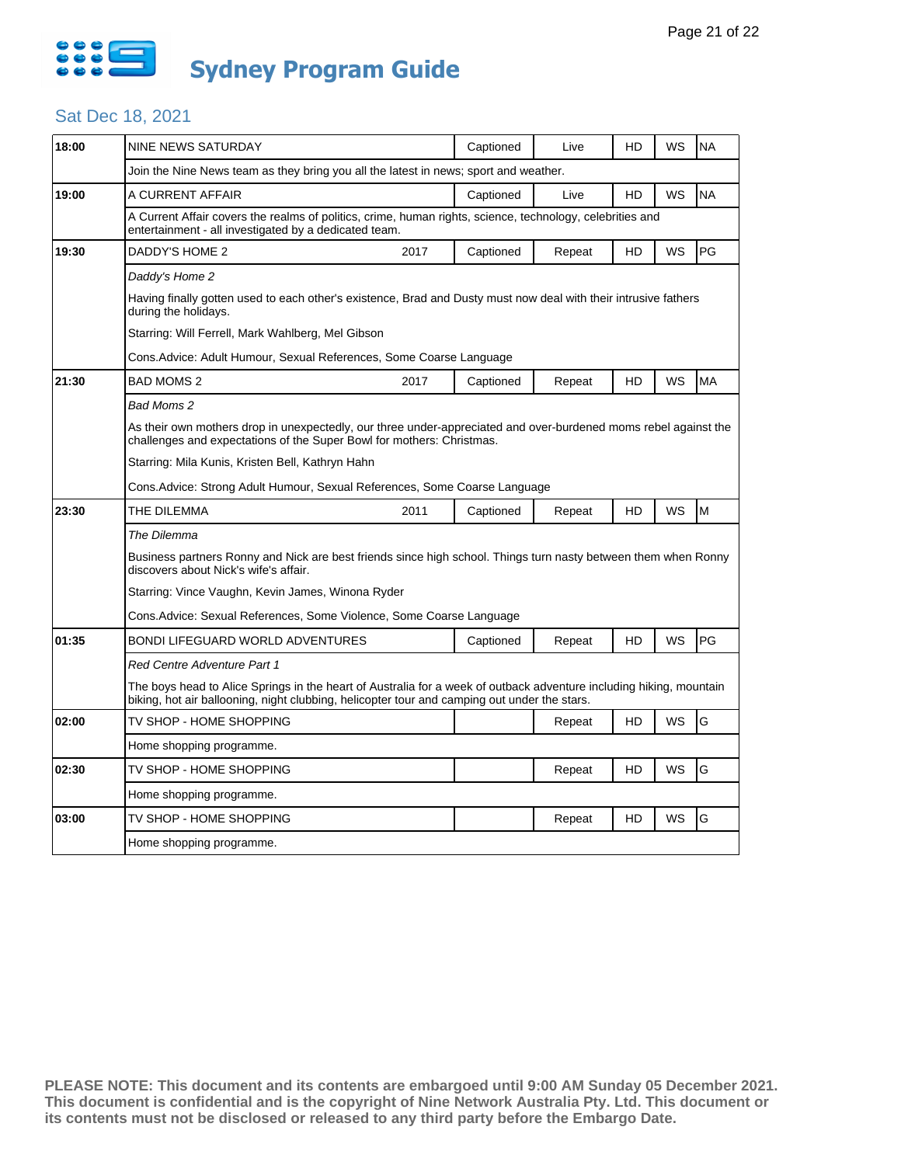

# Sat Dec 18, 2021

| 18:00 | NINE NEWS SATURDAY                                                                                                                                                                                                  |                                                                                                                                                                    | Captioned | Live   | HD | WS        | <b>NA</b> |  |  |  |  |
|-------|---------------------------------------------------------------------------------------------------------------------------------------------------------------------------------------------------------------------|--------------------------------------------------------------------------------------------------------------------------------------------------------------------|-----------|--------|----|-----------|-----------|--|--|--|--|
|       | Join the Nine News team as they bring you all the latest in news; sport and weather.                                                                                                                                |                                                                                                                                                                    |           |        |    |           |           |  |  |  |  |
| 19:00 | A CURRENT AFFAIR                                                                                                                                                                                                    |                                                                                                                                                                    | Captioned | Live   | HD | <b>WS</b> | <b>NA</b> |  |  |  |  |
|       |                                                                                                                                                                                                                     | A Current Affair covers the realms of politics, crime, human rights, science, technology, celebrities and<br>entertainment - all investigated by a dedicated team. |           |        |    |           |           |  |  |  |  |
| 19:30 | DADDY'S HOME 2                                                                                                                                                                                                      | 2017                                                                                                                                                               | Captioned | Repeat | HD | WS        | PG        |  |  |  |  |
|       | Daddy's Home 2                                                                                                                                                                                                      |                                                                                                                                                                    |           |        |    |           |           |  |  |  |  |
|       | Having finally gotten used to each other's existence, Brad and Dusty must now deal with their intrusive fathers<br>during the holidays.                                                                             |                                                                                                                                                                    |           |        |    |           |           |  |  |  |  |
|       | Starring: Will Ferrell, Mark Wahlberg, Mel Gibson                                                                                                                                                                   |                                                                                                                                                                    |           |        |    |           |           |  |  |  |  |
|       | Cons. Advice: Adult Humour, Sexual References, Some Coarse Language                                                                                                                                                 |                                                                                                                                                                    |           |        |    |           |           |  |  |  |  |
| 21:30 | <b>BAD MOMS 2</b>                                                                                                                                                                                                   | 2017                                                                                                                                                               | Captioned | Repeat | HD | WS        | <b>MA</b> |  |  |  |  |
|       | Bad Moms 2                                                                                                                                                                                                          |                                                                                                                                                                    |           |        |    |           |           |  |  |  |  |
|       | As their own mothers drop in unexpectedly, our three under-appreciated and over-burdened moms rebel against the<br>challenges and expectations of the Super Bowl for mothers: Christmas.                            |                                                                                                                                                                    |           |        |    |           |           |  |  |  |  |
|       | Starring: Mila Kunis, Kristen Bell, Kathryn Hahn                                                                                                                                                                    |                                                                                                                                                                    |           |        |    |           |           |  |  |  |  |
|       | Cons.Advice: Strong Adult Humour, Sexual References, Some Coarse Language                                                                                                                                           |                                                                                                                                                                    |           |        |    |           |           |  |  |  |  |
| 23:30 | THE DILEMMA                                                                                                                                                                                                         | 2011                                                                                                                                                               | Captioned | Repeat | HD | WS        | M         |  |  |  |  |
|       | The Dilemma                                                                                                                                                                                                         |                                                                                                                                                                    |           |        |    |           |           |  |  |  |  |
|       | Business partners Ronny and Nick are best friends since high school. Things turn nasty between them when Ronny<br>discovers about Nick's wife's affair.                                                             |                                                                                                                                                                    |           |        |    |           |           |  |  |  |  |
|       | Starring: Vince Vaughn, Kevin James, Winona Ryder                                                                                                                                                                   |                                                                                                                                                                    |           |        |    |           |           |  |  |  |  |
|       |                                                                                                                                                                                                                     |                                                                                                                                                                    |           |        |    |           |           |  |  |  |  |
|       | Cons.Advice: Sexual References, Some Violence, Some Coarse Language                                                                                                                                                 |                                                                                                                                                                    |           |        |    |           |           |  |  |  |  |
| 01:35 | BONDI LIFEGUARD WORLD ADVENTURES                                                                                                                                                                                    |                                                                                                                                                                    | Captioned | Repeat | HD | <b>WS</b> | PG        |  |  |  |  |
|       | Red Centre Adventure Part 1                                                                                                                                                                                         |                                                                                                                                                                    |           |        |    |           |           |  |  |  |  |
|       | The boys head to Alice Springs in the heart of Australia for a week of outback adventure including hiking, mountain<br>biking, hot air ballooning, night clubbing, helicopter tour and camping out under the stars. |                                                                                                                                                                    |           |        |    |           |           |  |  |  |  |
| 02:00 | TV SHOP - HOME SHOPPING                                                                                                                                                                                             |                                                                                                                                                                    |           | Repeat | HD | WS        | G         |  |  |  |  |
|       | Home shopping programme.                                                                                                                                                                                            |                                                                                                                                                                    |           |        |    |           |           |  |  |  |  |
| 02:30 | TV SHOP - HOME SHOPPING                                                                                                                                                                                             |                                                                                                                                                                    |           | Repeat | HD | WS        | G         |  |  |  |  |
|       | Home shopping programme.                                                                                                                                                                                            |                                                                                                                                                                    |           |        |    |           |           |  |  |  |  |
| 03:00 | TV SHOP - HOME SHOPPING                                                                                                                                                                                             |                                                                                                                                                                    |           | Repeat | HD | WS        | G         |  |  |  |  |